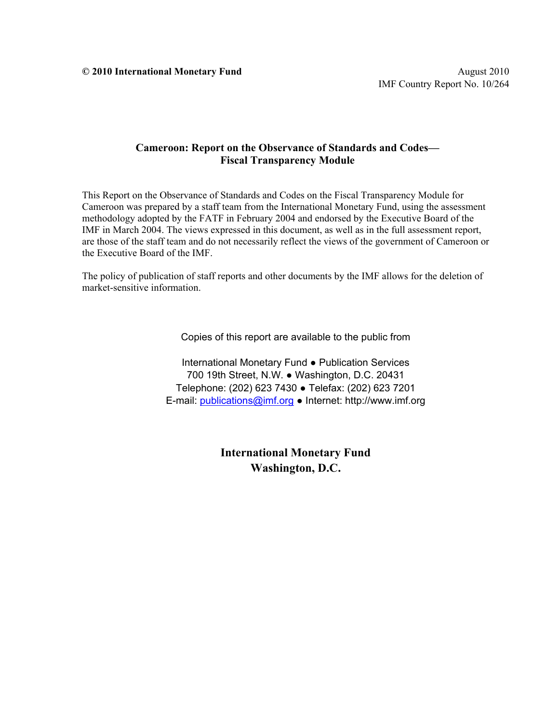**© 2010 International Monetary Fund** August 2010

#### **Cameroon: Report on the Observance of Standards and Codes— Fiscal Transparency Module**

This Report on the Observance of Standards and Codes on the Fiscal Transparency Module for Cameroon was prepared by a staff team from the International Monetary Fund, using the assessment methodology adopted by the FATF in February 2004 and endorsed by the Executive Board of the IMF in March 2004. The views expressed in this document, as well as in the full assessment report, are those of the staff team and do not necessarily reflect the views of the government of Cameroon or the Executive Board of the IMF.

The policy of publication of staff reports and other documents by the IMF allows for the deletion of market-sensitive information.

Copies of this report are available to the public from

International Monetary Fund ● Publication Services 700 19th Street, N.W. ● Washington, D.C. 20431 Telephone: (202) 623 7430 ● Telefax: (202) 623 7201 E-mail: publications@imf.org ● Internet: http://www.imf.org

> **International Monetary Fund Washington, D.C.**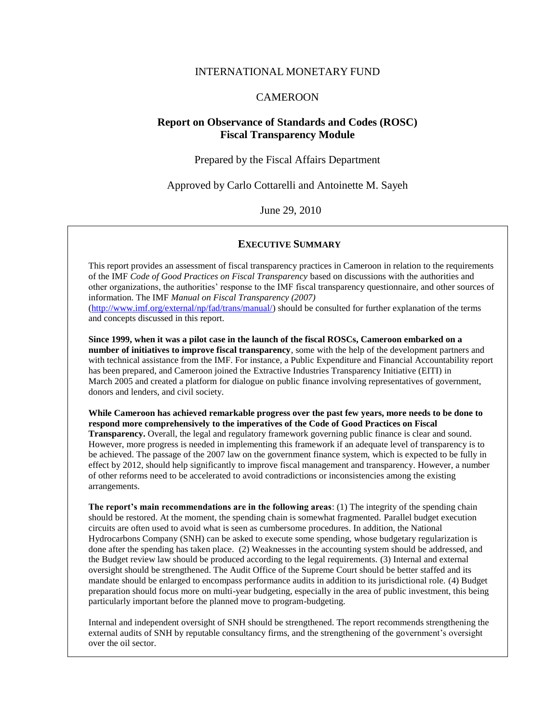#### INTERNATIONAL MONETARY FUND

#### CAMEROON

#### **Report on Observance of Standards and Codes (ROSC) Fiscal Transparency Module**

Prepared by the Fiscal Affairs Department

Approved by Carlo Cottarelli and Antoinette M. Sayeh

June 29, 2010

#### **EXECUTIVE SUMMARY**

This report provides an assessment of fiscal transparency practices in Cameroon in relation to the requirements of the IMF *Code of Good Practices on Fiscal Transparency* based on discussions with the authorities and other organizations, the authorities' response to the IMF fiscal transparency questionnaire, and other sources of information. The IMF *Manual on Fiscal Transparency (2007)*

[\(http://www.imf.org/external/np/fad/trans/manual/\)](http://www.imf.org/external/np/fad/trans/manual/) should be consulted for further explanation of the terms and concepts discussed in this report.

**Since 1999, when it was a pilot case in the launch of the fiscal ROSCs, Cameroon embarked on a number of initiatives to improve fiscal transparency**, some with the help of the development partners and with technical assistance from the IMF. For instance, a Public Expenditure and Financial Accountability report has been prepared, and Cameroon joined the Extractive Industries Transparency Initiative (EITI) in March 2005 and created a platform for dialogue on public finance involving representatives of government, donors and lenders, and civil society.

**While Cameroon has achieved remarkable progress over the past few years, more needs to be done to respond more comprehensively to the imperatives of the Code of Good Practices on Fiscal Transparency.** Overall, the legal and regulatory framework governing public finance is clear and sound. However, more progress is needed in implementing this framework if an adequate level of transparency is to be achieved. The passage of the 2007 law on the government finance system, which is expected to be fully in effect by 2012, should help significantly to improve fiscal management and transparency. However, a number of other reforms need to be accelerated to avoid contradictions or inconsistencies among the existing arrangements.

**The report's main recommendations are in the following areas**: (1) The integrity of the spending chain should be restored. At the moment, the spending chain is somewhat fragmented. Parallel budget execution circuits are often used to avoid what is seen as cumbersome procedures. In addition, the National Hydrocarbons Company (SNH) can be asked to execute some spending, whose budgetary regularization is done after the spending has taken place. (2) Weaknesses in the accounting system should be addressed, and the Budget review law should be produced according to the legal requirements. (3) Internal and external oversight should be strengthened. The Audit Office of the Supreme Court should be better staffed and its mandate should be enlarged to encompass performance audits in addition to its jurisdictional role. (4) Budget preparation should focus more on multi-year budgeting, especially in the area of public investment, this being particularly important before the planned move to program-budgeting.

Internal and independent oversight of SNH should be strengthened. The report recommends strengthening the external audits of SNH by reputable consultancy firms, and the strengthening of the government's oversight over the oil sector.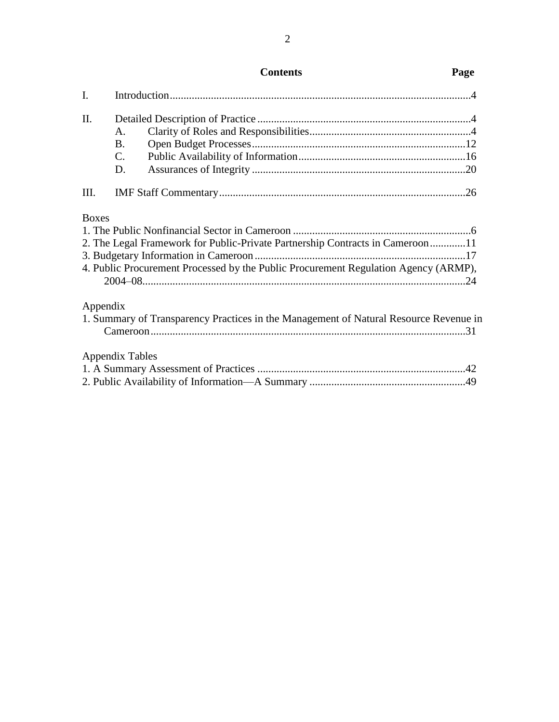| I.           |                                                                                                                                                                      |  |
|--------------|----------------------------------------------------------------------------------------------------------------------------------------------------------------------|--|
| Π.           | A.<br><b>B.</b><br>$C_{\cdot}$<br>D.                                                                                                                                 |  |
| III.         |                                                                                                                                                                      |  |
| <b>Boxes</b> | 2. The Legal Framework for Public-Private Partnership Contracts in Cameroon11<br>4. Public Procurement Processed by the Public Procurement Regulation Agency (ARMP), |  |
| Appendix     | 1. Summary of Transparency Practices in the Management of Natural Resource Revenue in                                                                                |  |
|              | <b>Appendix Tables</b>                                                                                                                                               |  |

# **Contents Page**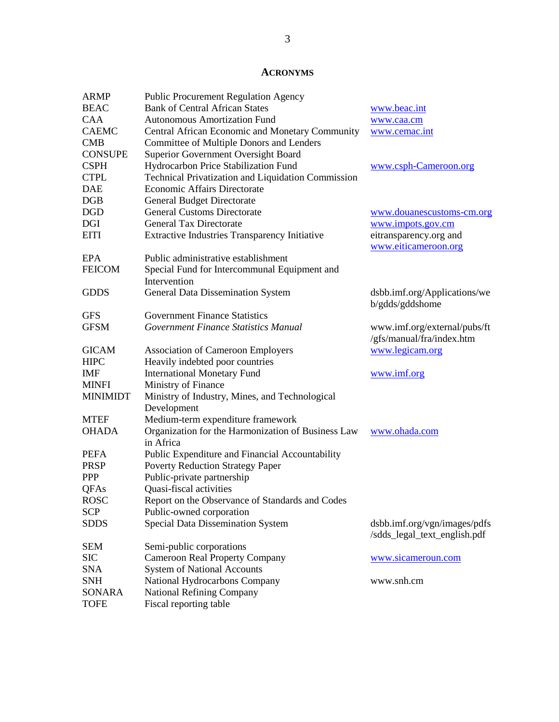# **ACRONYMS**

| <b>ARMP</b>     | <b>Public Procurement Regulation Agency</b>          |                              |
|-----------------|------------------------------------------------------|------------------------------|
| <b>BEAC</b>     | <b>Bank of Central African States</b>                | www.beac.int                 |
| <b>CAA</b>      | <b>Autonomous Amortization Fund</b>                  | www.caa.cm                   |
| <b>CAEMC</b>    | Central African Economic and Monetary Community      | www.cemac.int                |
| <b>CMB</b>      | Committee of Multiple Donors and Lenders             |                              |
| <b>CONSUPE</b>  | Superior Government Oversight Board                  |                              |
| <b>CSPH</b>     | Hydrocarbon Price Stabilization Fund                 | www.csph-Cameroon.org        |
| <b>CTPL</b>     | Technical Privatization and Liquidation Commission   |                              |
| DAE             | Economic Affairs Directorate                         |                              |
| DGB             | <b>General Budget Directorate</b>                    |                              |
| DGD             | <b>General Customs Directorate</b>                   | www.douanescustoms-cm.org    |
| DGI             | <b>General Tax Directorate</b>                       | www.impots.gov.cm            |
| <b>EITI</b>     | <b>Extractive Industries Transparency Initiative</b> | eitransparency.org and       |
|                 |                                                      | www.eiticameroon.org         |
| EPA             | Public administrative establishment                  |                              |
| <b>FEICOM</b>   | Special Fund for Intercommunal Equipment and         |                              |
|                 | Intervention                                         |                              |
| <b>GDDS</b>     | General Data Dissemination System                    | dsbb.imf.org/Applications/we |
|                 |                                                      | b/gdds/gddshome              |
| <b>GFS</b>      | <b>Government Finance Statistics</b>                 |                              |
| <b>GFSM</b>     | Government Finance Statistics Manual                 | www.imf.org/external/pubs/ft |
|                 |                                                      | /gfs/manual/fra/index.htm    |
| <b>GICAM</b>    | <b>Association of Cameroon Employers</b>             | www.legicam.org              |
| <b>HIPC</b>     | Heavily indebted poor countries                      |                              |
| IMF             | <b>International Monetary Fund</b>                   | www.imf.org                  |
| MINFI           | Ministry of Finance                                  |                              |
| <b>MINIMIDT</b> | Ministry of Industry, Mines, and Technological       |                              |
|                 | Development                                          |                              |
| MTEF            | Medium-term expenditure framework                    |                              |
| <b>OHADA</b>    | Organization for the Harmonization of Business Law   | www.ohada.com                |
|                 | in Africa                                            |                              |
| PEFA            | Public Expenditure and Financial Accountability      |                              |
| <b>PRSP</b>     | <b>Poverty Reduction Strategy Paper</b>              |                              |
| <b>PPP</b>      | Public-private partnership                           |                              |
| QFAs            | Quasi-fiscal activities                              |                              |
| <b>ROSC</b>     | Report on the Observance of Standards and Codes      |                              |
| <b>SCP</b>      | Public-owned corporation                             |                              |
| <b>SDDS</b>     | Special Data Dissemination System                    | dsbb.imf.org/vgn/images/pdfs |
|                 |                                                      | /sdds_legal_text_english.pdf |
| SEM             | Semi-public corporations                             |                              |
| <b>SIC</b>      | <b>Cameroon Real Property Company</b>                | www.sicameroun.com           |
| <b>SNA</b>      | <b>System of National Accounts</b>                   |                              |
| <b>SNH</b>      | National Hydrocarbons Company                        | www.snh.cm                   |
| SONARA          | <b>National Refining Company</b>                     |                              |
|                 |                                                      |                              |
| <b>TOFE</b>     | Fiscal reporting table                               |                              |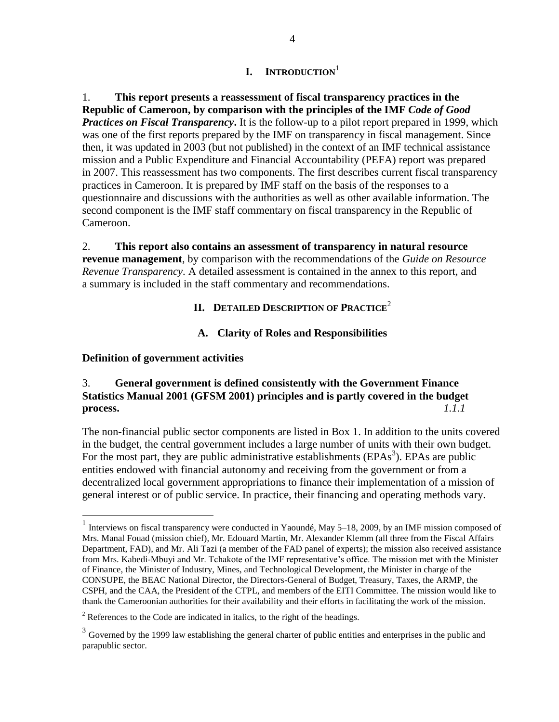# **I. INTRODUCTION**<sup>1</sup>

1. **This report presents a reassessment of fiscal transparency practices in the Republic of Cameroon, by comparison with the principles of the IMF** *Code of Good Practices on Fiscal Transparency*. It is the follow-up to a pilot report prepared in 1999, which was one of the first reports prepared by the IMF on transparency in fiscal management. Since then, it was updated in 2003 (but not published) in the context of an IMF technical assistance mission and a Public Expenditure and Financial Accountability (PEFA) report was prepared in 2007. This reassessment has two components. The first describes current fiscal transparency practices in Cameroon. It is prepared by IMF staff on the basis of the responses to a questionnaire and discussions with the authorities as well as other available information. The second component is the IMF staff commentary on fiscal transparency in the Republic of Cameroon.

2. **This report also contains an assessment of transparency in natural resource revenue management**, by comparison with the recommendations of the *Guide on Resource Revenue Transparency*. A detailed assessment is contained in the annex to this report, and a summary is included in the staff commentary and recommendations.

# **II. DETAILED DESCRIPTION OF PRACTICE<sup>2</sup>**

#### **A. Clarity of Roles and Responsibilities**

#### **Definition of government activities**

 $\overline{a}$ 

# <span id="page-4-0"></span>3. **General government is defined consistently with the Government Finance Statistics Manual 2001 (GFSM 2001) principles and is partly covered in the budget process.** *1.1.1*

The non-financial public sector components are listed in Box 1. In addition to the units covered in the budget, the central government includes a large number of units with their own budget. For the most part, they are public administrative establishments ( $EPAs<sup>3</sup>$ ). EPAs are public entities endowed with financial autonomy and receiving from the government or from a decentralized local government appropriations to finance their implementation of a mission of general interest or of public service. In practice, their financing and operating methods vary.

<sup>&</sup>lt;sup>1</sup> Interviews on fiscal transparency were conducted in Yaoundé, May 5–18, 2009, by an IMF mission composed of Mrs. Manal Fouad (mission chief), Mr. Edouard Martin, Mr. Alexander Klemm (all three from the Fiscal Affairs Department, FAD), and Mr. Ali Tazi (a member of the FAD panel of experts); the mission also received assistance from Mrs. Kabedi-Mbuyi and Mr. Tchakote of the IMF representative's office. The mission met with the Minister of Finance, the Minister of Industry, Mines, and Technological Development, the Minister in charge of the CONSUPE, the BEAC National Director, the Directors-General of Budget, Treasury, Taxes, the ARMP, the CSPH, and the CAA, the President of the CTPL, and members of the EITI Committee. The mission would like to thank the Cameroonian authorities for their availability and their efforts in facilitating the work of the mission.

 $2$  References to the Code are indicated in italics, to the right of the headings.

 $3\overline{3}$  Governed by the 1999 law establishing the general charter of public entities and enterprises in the public and parapublic sector.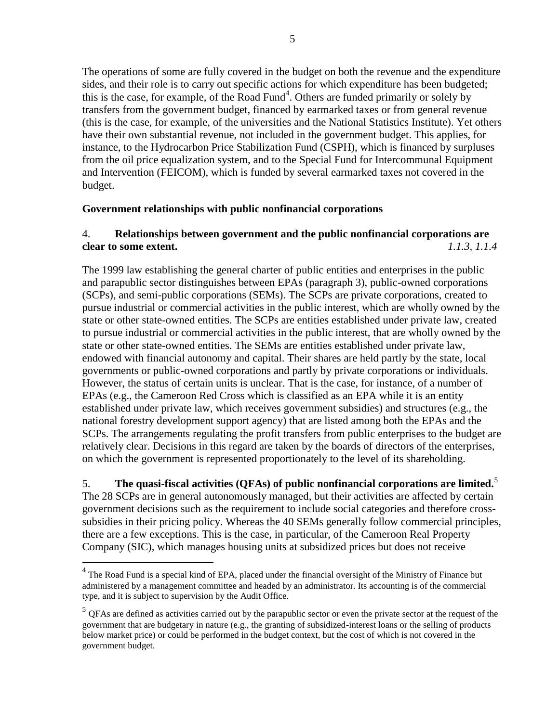The operations of some are fully covered in the budget on both the revenue and the expenditure sides, and their role is to carry out specific actions for which expenditure has been budgeted; this is the case, for example, of the Road Fund<sup>4</sup>. Others are funded primarily or solely by transfers from the government budget, financed by earmarked taxes or from general revenue (this is the case, for example, of the universities and the National Statistics Institute). Yet others have their own substantial revenue, not included in the government budget. This applies, for instance, to the Hydrocarbon Price Stabilization Fund (CSPH), which is financed by surpluses from the oil price equalization system, and to the Special Fund for Intercommunal Equipment and Intervention (FEICOM), which is funded by several earmarked taxes not covered in the budget.

#### **Government relationships with public nonfinancial corporations**

### 4. **Relationships between government and the public nonfinancial corporations are clear to some extent.** *1.1.3, 1.1.4*

The 1999 law establishing the general charter of public entities and enterprises in the public and parapublic sector distinguishes between EPAs (paragraph 3), public-owned corporations (SCPs), and semi-public corporations (SEMs). The SCPs are private corporations, created to pursue industrial or commercial activities in the public interest, which are wholly owned by the state or other state-owned entities. The SCPs are entities established under private law, created to pursue industrial or commercial activities in the public interest, that are wholly owned by the state or other state-owned entities. The SEMs are entities established under private law, endowed with financial autonomy and capital. Their shares are held partly by the state, local governments or public-owned corporations and partly by private corporations or individuals. However, the status of certain units is unclear. That is the case, for instance, of a number of EPAs (e.g., the Cameroon Red Cross which is classified as an EPA while it is an entity established under private law, which receives government subsidies) and structures (e.g., the national forestry development support agency) that are listed among both the EPAs and the SCPs. The arrangements regulating the profit transfers from public enterprises to the budget are relatively clear. Decisions in this regard are taken by the boards of directors of the enterprises, on which the government is represented proportionately to the level of its shareholding.

# <span id="page-5-0"></span>5. **The quasi-fiscal activities (QFAs) of public nonfinancial corporations are limited.**<sup>5</sup> The 28 SCPs are in general autonomously managed, but their activities are affected by certain government decisions such as the requirement to include social categories and therefore crosssubsidies in their pricing policy. Whereas the 40 SEMs generally follow commercial principles, there are a few exceptions. This is the case, in particular, of the Cameroon Real Property Company (SIC), which manages housing units at subsidized prices but does not receive

 $\overline{a}$ 

<sup>&</sup>lt;sup>4</sup> The Road Fund is a special kind of EPA, placed under the financial oversight of the Ministry of Finance but administered by a management committee and headed by an administrator. Its accounting is of the commercial type, and it is subject to supervision by the Audit Office.

 $<sup>5</sup>$  QFAs are defined as activities carried out by the parapublic sector or even the private sector at the request of the</sup> government that are budgetary in nature (e.g., the granting of subsidized-interest loans or the selling of products below market price) or could be performed in the budget context, but the cost of which is not covered in the government budget.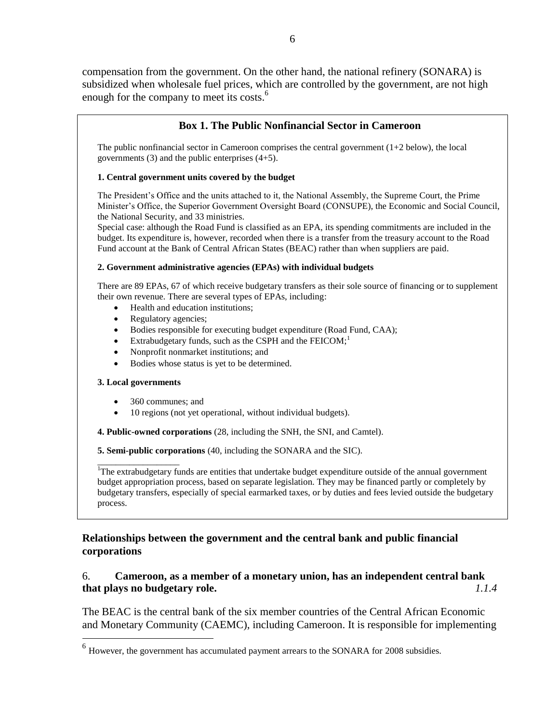compensation from the government. On the other hand, the national refinery (SONARA) is subsidized when wholesale fuel prices, which are controlled by the government, are not high enough for the company to meet its costs.<sup>6</sup>

# **Box 1. The Public Nonfinancial Sector in Cameroon**

The public nonfinancial sector in Cameroon comprises the central government  $(1+2$  below), the local governments (3) and the public enterprises (4+5).

#### **1. Central government units covered by the budget**

The President's Office and the units attached to it, the National Assembly, the Supreme Court, the Prime Minister's Office, the Superior Government Oversight Board (CONSUPE), the Economic and Social Council, the National Security, and 33 ministries.

Special case: although the Road Fund is classified as an EPA, its spending commitments are included in the budget. Its expenditure is, however, recorded when there is a transfer from the treasury account to the Road Fund account at the Bank of Central African States (BEAC) rather than when suppliers are paid.

#### **2. Government administrative agencies (EPAs) with individual budgets**

There are 89 EPAs, 67 of which receive budgetary transfers as their sole source of financing or to supplement their own revenue. There are several types of EPAs, including:

- Health and education institutions;
- Regulatory agencies;
- Bodies responsible for executing budget expenditure (Road Fund, CAA);
- Extrabudgetary funds, such as the CSPH and the FEICOM;<sup>1</sup>
- Nonprofit nonmarket institutions; and
- Bodies whose status is yet to be determined.

#### **3. Local governments**

- 360 communes; and
- 10 regions (not yet operational, without individual budgets).

**4. Public-owned corporations** (28, including the SNH, the SNI, and Camtel).

**5. Semi-public corporations** (40, including the SONARA and the SIC).

\_\_\_\_\_\_\_\_\_\_\_\_\_\_\_\_\_\_ <sup>1</sup>The extrabudgetary funds are entities that undertake budget expenditure outside of the annual government budget appropriation process, based on separate legislation. They may be financed partly or completely by budgetary transfers, especially of special earmarked taxes, or by duties and fees levied outside the budgetary process.

### **Relationships between the government and the central bank and public financial corporations**

# 6. **Cameroon, as a member of a monetary union, has an independent central bank that plays no budgetary role.** *1.1.4*

The BEAC is the central bank of the six member countries of the Central African Economic and Monetary Community (CAEMC), including Cameroon. It is responsible for implementing

 6 However, the government has accumulated payment arrears to the SONARA for 2008 subsidies.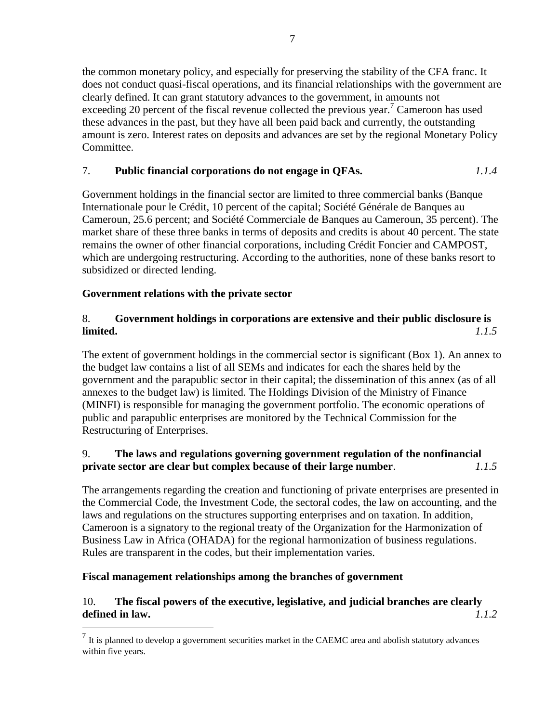the common monetary policy, and especially for preserving the stability of the CFA franc. It does not conduct quasi-fiscal operations, and its financial relationships with the government are clearly defined. It can grant statutory advances to the government, in amounts not exceeding 20 percent of the fiscal revenue collected the previous year.<sup>7</sup> Cameroon has used these advances in the past, but they have all been paid back and currently, the outstanding amount is zero. Interest rates on deposits and advances are set by the regional Monetary Policy Committee.

# 7. **Public financial corporations do not engage in QFAs.** *1.1.4*

Government holdings in the financial sector are limited to three commercial banks (Banque Internationale pour le Crédit, 10 percent of the capital; Société Générale de Banques au Cameroun, 25.6 percent; and Société Commerciale de Banques au Cameroun, 35 percent). The market share of these three banks in terms of deposits and credits is about 40 percent. The state remains the owner of other financial corporations, including Crédit Foncier and CAMPOST, which are undergoing restructuring. According to the authorities, none of these banks resort to subsidized or directed lending.

# **Government relations with the private sector**

# 8. **Government holdings in corporations are extensive and their public disclosure is limited.** *1.1.5*

The extent of government holdings in the commercial sector is significant (Box 1). An annex to the budget law contains a list of all SEMs and indicates for each the shares held by the government and the parapublic sector in their capital; the dissemination of this annex (as of all annexes to the budget law) is limited. The Holdings Division of the Ministry of Finance (MINFI) is responsible for managing the government portfolio. The economic operations of public and parapublic enterprises are monitored by the Technical Commission for the Restructuring of Enterprises.

# 9. **The laws and regulations governing government regulation of the nonfinancial private sector are clear but complex because of their large number**. *1.1.5*

The arrangements regarding the creation and functioning of private enterprises are presented in the Commercial Code, the Investment Code, the sectoral codes, the law on accounting, and the laws and regulations on the structures supporting enterprises and on taxation. In addition, Cameroon is a signatory to the regional treaty of the Organization for the Harmonization of Business Law in Africa (OHADA) for the regional harmonization of business regulations. Rules are transparent in the codes, but their implementation varies.

#### **Fiscal management relationships among the branches of government**

# 10. **The fiscal powers of the executive, legislative, and judicial branches are clearly defined in law.** *1.1.2*

<sup>&</sup>lt;sup>7</sup> It is planned to develop a government securities market in the CAEMC area and abolish statutory advances within five years.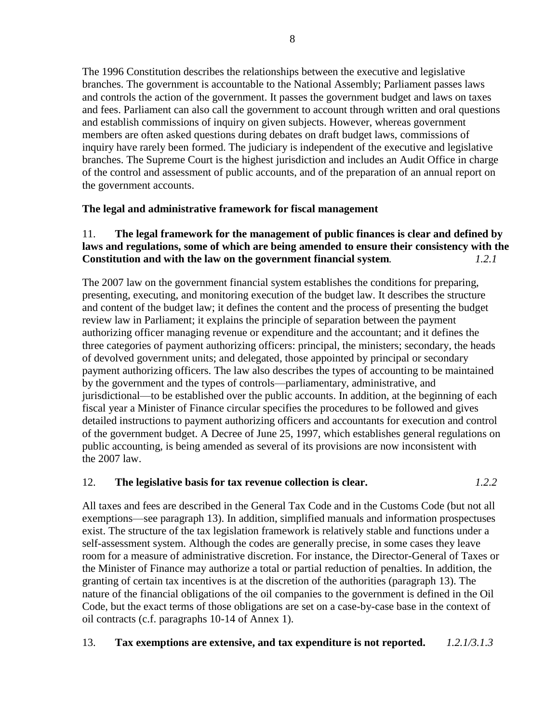The 1996 Constitution describes the relationships between the executive and legislative branches. The government is accountable to the National Assembly; Parliament passes laws and controls the action of the government. It passes the government budget and laws on taxes and fees. Parliament can also call the government to account through written and oral questions and establish commissions of inquiry on given subjects. However, whereas government members are often asked questions during debates on draft budget laws, commissions of inquiry have rarely been formed. The judiciary is independent of the executive and legislative branches. The Supreme Court is the highest jurisdiction and includes an Audit Office in charge of the control and assessment of public accounts, and of the preparation of an annual report on the government accounts.

# **The legal and administrative framework for fiscal management**

# 11. **The legal framework for the management of public finances is clear and defined by laws and regulations, some of which are being amended to ensure their consistency with the Constitution and with the law on the government financial system***. 1.2.1*

The 2007 law on the government financial system establishes the conditions for preparing, presenting, executing, and monitoring execution of the budget law. It describes the structure and content of the budget law; it defines the content and the process of presenting the budget review law in Parliament; it explains the principle of separation between the payment authorizing officer managing revenue or expenditure and the accountant; and it defines the three categories of payment authorizing officers: principal, the ministers; secondary, the heads of devolved government units; and delegated, those appointed by principal or secondary payment authorizing officers. The law also describes the types of accounting to be maintained by the government and the types of controls—parliamentary, administrative, and jurisdictional—to be established over the public accounts. In addition, at the beginning of each fiscal year a Minister of Finance circular specifies the procedures to be followed and gives detailed instructions to payment authorizing officers and accountants for execution and control of the government budget. A Decree of June 25, 1997, which establishes general regulations on public accounting, is being amended as several of its provisions are now inconsistent with the 2007 law.

# <span id="page-8-0"></span>12. **The legislative basis for tax revenue collection is clear.** *1.2.2*

All taxes and fees are described in the General Tax Code and in the Customs Code (but not all exemptions—see paragraph 13). In addition, simplified manuals and information prospectuses exist. The structure of the tax legislation framework is relatively stable and functions under a self-assessment system. Although the codes are generally precise, in some cases they leave room for a measure of administrative discretion. For instance, the Director-General of Taxes or the Minister of Finance may authorize a total or partial reduction of penalties. In addition, the granting of certain tax incentives is at the discretion of the authorities (paragraph 13). The nature of the financial obligations of the oil companies to the government is defined in the Oil Code, but the exact terms of those obligations are set on a case-by-case base in the context of oil contracts (c.f. paragraphs 10-14 of Annex 1).

# 13. **Tax exemptions are extensive, and tax expenditure is not reported.** *1.2.1/3.1.3*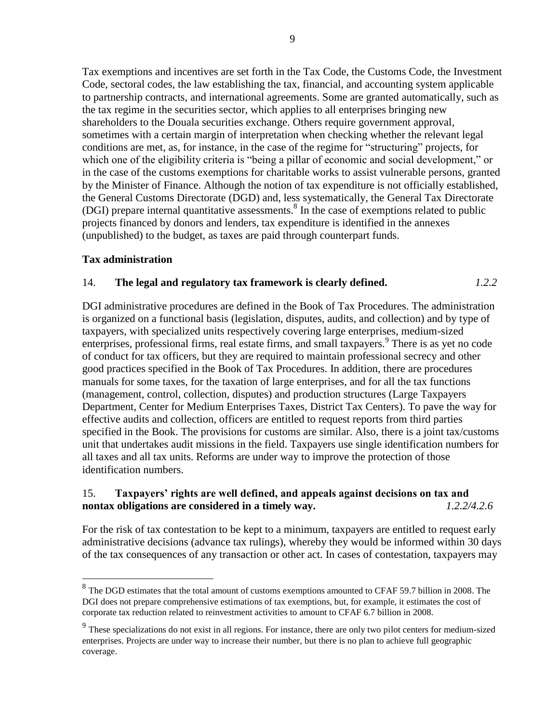Tax exemptions and incentives are set forth in the Tax Code, the Customs Code, the Investment Code, sectoral codes, the law establishing the tax, financial, and accounting system applicable to partnership contracts, and international agreements. Some are granted automatically, such as the tax regime in the securities sector, which applies to all enterprises bringing new shareholders to the Douala securities exchange. Others require government approval, sometimes with a certain margin of interpretation when checking whether the relevant legal conditions are met, as, for instance, in the case of the regime for "structuring" projects, for which one of the eligibility criteria is "being a pillar of economic and social development," or in the case of the customs exemptions for charitable works to assist vulnerable persons, granted by the Minister of Finance. Although the notion of tax expenditure is not officially established, the General Customs Directorate (DGD) and, less systematically, the General Tax Directorate (DGI) prepare internal quantitative assessments.<sup>8</sup> In the case of exemptions related to public projects financed by donors and lenders, tax expenditure is identified in the annexes (unpublished) to the budget, as taxes are paid through counterpart funds.

#### **Tax administration**

### 14. **The legal and regulatory tax framework is clearly defined.** *1.2.2*

DGI administrative procedures are defined in the Book of Tax Procedures. The administration is organized on a functional basis (legislation, disputes, audits, and collection) and by type of taxpayers, with specialized units respectively covering large enterprises, medium-sized enterprises, professional firms, real estate firms, and small taxpayers.<sup>9</sup> There is as yet no code of conduct for tax officers, but they are required to maintain professional secrecy and other good practices specified in the Book of Tax Procedures. In addition, there are procedures manuals for some taxes, for the taxation of large enterprises, and for all the tax functions (management, control, collection, disputes) and production structures (Large Taxpayers Department, Center for Medium Enterprises Taxes, District Tax Centers). To pave the way for effective audits and collection, officers are entitled to request reports from third parties specified in the Book. The provisions for customs are similar. Also, there is a joint tax/customs unit that undertakes audit missions in the field. Taxpayers use single identification numbers for all taxes and all tax units. Reforms are under way to improve the protection of those identification numbers.

### <span id="page-9-0"></span>15. **Taxpayers' rights are well defined, and appeals against decisions on tax and nontax obligations are considered in a timely way.** *1.2.2/4.2.6*

For the risk of tax contestation to be kept to a minimum, taxpayers are entitled to request early administrative decisions (advance tax rulings), whereby they would be informed within 30 days of the tax consequences of any transaction or other act. In cases of contestation, taxpayers may

<sup>&</sup>lt;sup>8</sup> The DGD estimates that the total amount of customs exemptions amounted to CFAF 59.7 billion in 2008. The DGI does not prepare comprehensive estimations of tax exemptions, but, for example, it estimates the cost of corporate tax reduction related to reinvestment activities to amount to CFAF 6.7 billion in 2008.

<sup>&</sup>lt;sup>9</sup> These specializations do not exist in all regions. For instance, there are only two pilot centers for medium-sized enterprises. Projects are under way to increase their number, but there is no plan to achieve full geographic coverage.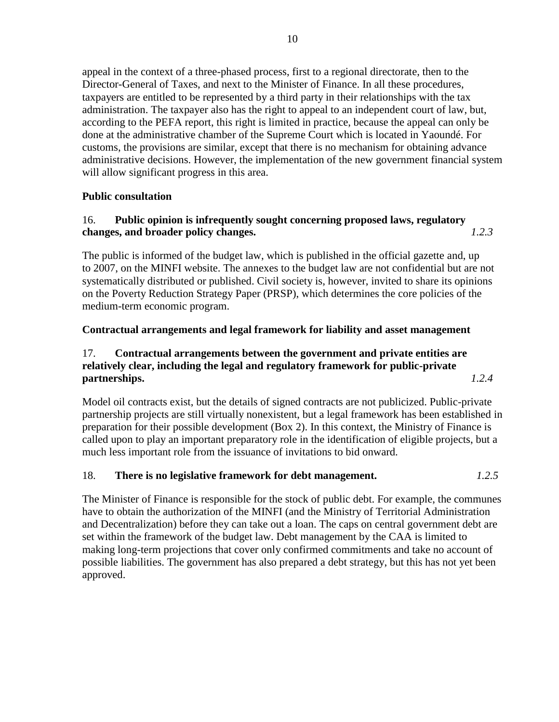appeal in the context of a three-phased process, first to a regional directorate, then to the Director-General of Taxes, and next to the Minister of Finance. In all these procedures, taxpayers are entitled to be represented by a third party in their relationships with the tax administration. The taxpayer also has the right to appeal to an independent court of law, but, according to the PEFA report, this right is limited in practice, because the appeal can only be done at the administrative chamber of the Supreme Court which is located in Yaoundé. For customs, the provisions are similar, except that there is no mechanism for obtaining advance administrative decisions. However, the implementation of the new government financial system will allow significant progress in this area.

# **Public consultation**

# 16. **Public opinion is infrequently sought concerning proposed laws, regulatory changes, and broader policy changes.** *1.2.3*

The public is informed of the budget law, which is published in the official gazette and, up to 2007, on the MINFI website. The annexes to the budget law are not confidential but are not systematically distributed or published. Civil society is, however, invited to share its opinions on the Poverty Reduction Strategy Paper (PRSP), which determines the core policies of the medium-term economic program.

# **Contractual arrangements and legal framework for liability and asset management**

# 17. **Contractual arrangements between the government and private entities are relatively clear, including the legal and regulatory framework for public-private partnerships.** *1.2.4*

Model oil contracts exist, but the details of signed contracts are not publicized. Public-private partnership projects are still virtually nonexistent, but a legal framework has been established in preparation for their possible development (Box 2). In this context, the Ministry of Finance is called upon to play an important preparatory role in the identification of eligible projects, but a much less important role from the issuance of invitations to bid onward.

# 18. **There is no legislative framework for debt management.** *1.2.5*

The Minister of Finance is responsible for the stock of public debt. For example, the communes have to obtain the authorization of the MINFI (and the Ministry of Territorial Administration and Decentralization) before they can take out a loan. The caps on central government debt are set within the framework of the budget law. Debt management by the CAA is limited to making long-term projections that cover only confirmed commitments and take no account of possible liabilities. The government has also prepared a debt strategy, but this has not yet been approved.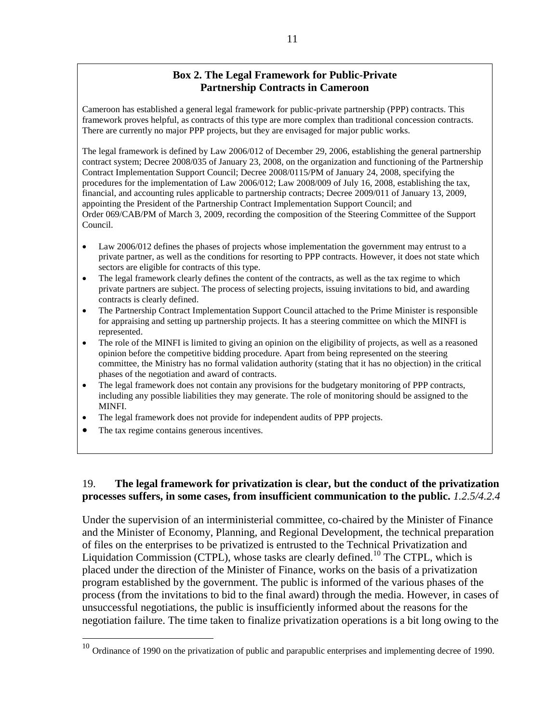# **Box 2. The Legal Framework for Public-Private Partnership Contracts in Cameroon**

Cameroon has established a general legal framework for public-private partnership (PPP) contracts. This framework proves helpful, as contracts of this type are more complex than traditional concession contracts. There are currently no major PPP projects, but they are envisaged for major public works.

The legal framework is defined by Law 2006/012 of December 29, 2006, establishing the general partnership contract system; Decree 2008/035 of January 23, 2008, on the organization and functioning of the Partnership Contract Implementation Support Council; Decree 2008/0115/PM of January 24, 2008, specifying the procedures for the implementation of Law 2006/012; Law 2008/009 of July 16, 2008, establishing the tax, financial, and accounting rules applicable to partnership contracts; Decree 2009/011 of January 13, 2009, appointing the President of the Partnership Contract Implementation Support Council; and Order 069/CAB/PM of March 3, 2009, recording the composition of the Steering Committee of the Support Council.

- Law 2006/012 defines the phases of projects whose implementation the government may entrust to a private partner, as well as the conditions for resorting to PPP contracts. However, it does not state which sectors are eligible for contracts of this type.
- The legal framework clearly defines the content of the contracts, as well as the tax regime to which private partners are subject. The process of selecting projects, issuing invitations to bid, and awarding contracts is clearly defined.
- The Partnership Contract Implementation Support Council attached to the Prime Minister is responsible for appraising and setting up partnership projects. It has a steering committee on which the MINFI is represented.
- The role of the MINFI is limited to giving an opinion on the eligibility of projects, as well as a reasoned opinion before the competitive bidding procedure. Apart from being represented on the steering committee, the Ministry has no formal validation authority (stating that it has no objection) in the critical phases of the negotiation and award of contracts.
- The legal framework does not contain any provisions for the budgetary monitoring of PPP contracts, including any possible liabilities they may generate. The role of monitoring should be assigned to the MINFI.
- The legal framework does not provide for independent audits of PPP projects.
- The tax regime contains generous incentives.

 $\overline{a}$ 

### 19. **The legal framework for privatization is clear, but the conduct of the privatization processes suffers, in some cases, from insufficient communication to the public.** *1.2.5/4.2.4*

Under the supervision of an interministerial committee, co-chaired by the Minister of Finance and the Minister of Economy, Planning, and Regional Development, the technical preparation of files on the enterprises to be privatized is entrusted to the Technical Privatization and Liquidation Commission (CTPL), whose tasks are clearly defined.<sup>10</sup> The CTPL, which is placed under the direction of the Minister of Finance, works on the basis of a privatization program established by the government. The public is informed of the various phases of the process (from the invitations to bid to the final award) through the media. However, in cases of unsuccessful negotiations, the public is insufficiently informed about the reasons for the negotiation failure. The time taken to finalize privatization operations is a bit long owing to the

 $10$  Ordinance of 1990 on the privatization of public and parapublic enterprises and implementing decree of 1990.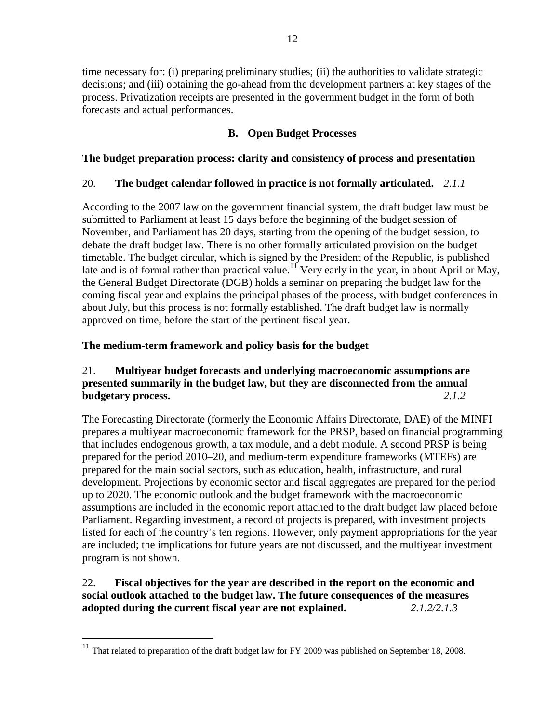time necessary for: (i) preparing preliminary studies; (ii) the authorities to validate strategic decisions; and (iii) obtaining the go-ahead from the development partners at key stages of the process. Privatization receipts are presented in the government budget in the form of both forecasts and actual performances.

# **B. Open Budget Processes**

# **The budget preparation process: clarity and consistency of process and presentation**

# 20. **The budget calendar followed in practice is not formally articulated.** *2.1.1*

According to the 2007 law on the government financial system, the draft budget law must be submitted to Parliament at least 15 days before the beginning of the budget session of November, and Parliament has 20 days, starting from the opening of the budget session, to debate the draft budget law. There is no other formally articulated provision on the budget timetable. The budget circular, which is signed by the President of the Republic, is published late and is of formal rather than practical value.<sup>11</sup> Very early in the year, in about April or May, the General Budget Directorate (DGB) holds a seminar on preparing the budget law for the coming fiscal year and explains the principal phases of the process, with budget conferences in about July, but this process is not formally established. The draft budget law is normally approved on time, before the start of the pertinent fiscal year.

# **The medium-term framework and policy basis for the budget**

# 21. **Multiyear budget forecasts and underlying macroeconomic assumptions are presented summarily in the budget law, but they are disconnected from the annual budgetary process.** *2.1.2*

The Forecasting Directorate (formerly the Economic Affairs Directorate, DAE) of the MINFI prepares a multiyear macroeconomic framework for the PRSP, based on financial programming that includes endogenous growth, a tax module, and a debt module. A second PRSP is being prepared for the period 2010–20, and medium-term expenditure frameworks (MTEFs) are prepared for the main social sectors, such as education, health, infrastructure, and rural development. Projections by economic sector and fiscal aggregates are prepared for the period up to 2020. The economic outlook and the budget framework with the macroeconomic assumptions are included in the economic report attached to the draft budget law placed before Parliament. Regarding investment, a record of projects is prepared, with investment projects listed for each of the country's ten regions. However, only payment appropriations for the year are included; the implications for future years are not discussed, and the multiyear investment program is not shown.

# 22. **Fiscal objectives for the year are described in the report on the economic and social outlook attached to the budget law. The future consequences of the measures adopted during the current fiscal year are not explained.** *2.1.2/2.1.3*

 $\overline{a}$ 

 $11$  That related to preparation of the draft budget law for FY 2009 was published on September 18, 2008.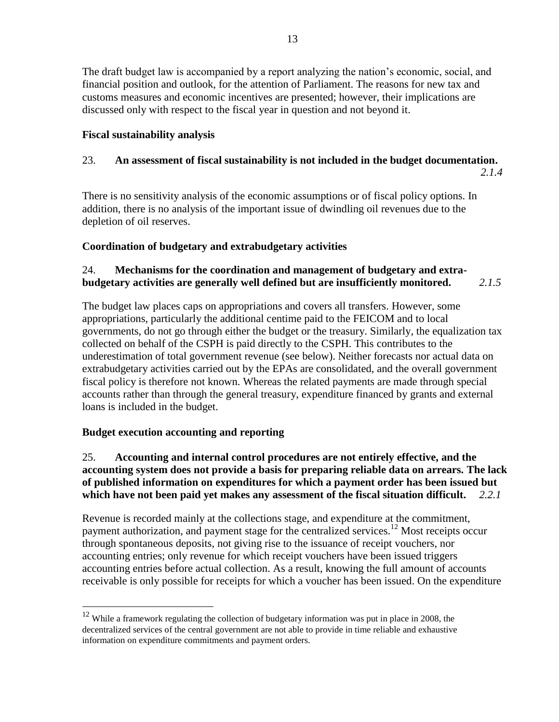The draft budget law is accompanied by a report analyzing the nation's economic, social, and financial position and outlook, for the attention of Parliament. The reasons for new tax and customs measures and economic incentives are presented; however, their implications are discussed only with respect to the fiscal year in question and not beyond it.

# **Fiscal sustainability analysis**

# 23. **An assessment of fiscal sustainability is not included in the budget documentation.**

*2.1.4*

There is no sensitivity analysis of the economic assumptions or of fiscal policy options. In addition, there is no analysis of the important issue of dwindling oil revenues due to the depletion of oil reserves.

# **Coordination of budgetary and extrabudgetary activities**

# 24. **Mechanisms for the coordination and management of budgetary and extrabudgetary activities are generally well defined but are insufficiently monitored.** *2.1.5*

The budget law places caps on appropriations and covers all transfers. However, some appropriations, particularly the additional centime paid to the FEICOM and to local governments, do not go through either the budget or the treasury. Similarly, the equalization tax collected on behalf of the CSPH is paid directly to the CSPH. This contributes to the underestimation of total government revenue (see below). Neither forecasts nor actual data on extrabudgetary activities carried out by the EPAs are consolidated, and the overall government fiscal policy is therefore not known. Whereas the related payments are made through special accounts rather than through the general treasury, expenditure financed by grants and external loans is included in the budget.

# **Budget execution accounting and reporting**

 $\overline{a}$ 

# 25. **Accounting and internal control procedures are not entirely effective, and the accounting system does not provide a basis for preparing reliable data on arrears. The lack of published information on expenditures for which a payment order has been issued but which have not been paid yet makes any assessment of the fiscal situation difficult.** *2.2.1*

Revenue is recorded mainly at the collections stage, and expenditure at the commitment, payment authorization, and payment stage for the centralized services.<sup>12</sup> Most receipts occur through spontaneous deposits, not giving rise to the issuance of receipt vouchers, nor accounting entries; only revenue for which receipt vouchers have been issued triggers accounting entries before actual collection. As a result, knowing the full amount of accounts receivable is only possible for receipts for which a voucher has been issued. On the expenditure

<sup>&</sup>lt;sup>12</sup> While a framework regulating the collection of budgetary information was put in place in 2008, the decentralized services of the central government are not able to provide in time reliable and exhaustive information on expenditure commitments and payment orders.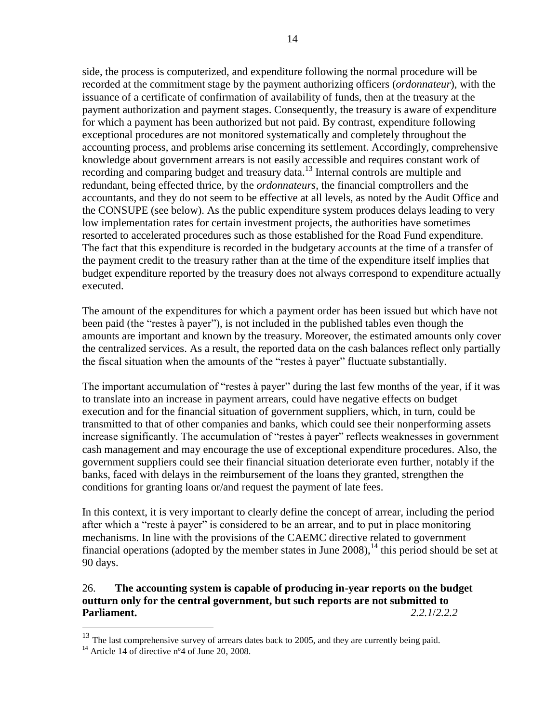side, the process is computerized, and expenditure following the normal procedure will be recorded at the commitment stage by the payment authorizing officers (*ordonnateur*), with the issuance of a certificate of confirmation of availability of funds, then at the treasury at the payment authorization and payment stages. Consequently, the treasury is aware of expenditure for which a payment has been authorized but not paid. By contrast, expenditure following exceptional procedures are not monitored systematically and completely throughout the accounting process, and problems arise concerning its settlement. Accordingly, comprehensive knowledge about government arrears is not easily accessible and requires constant work of recording and comparing budget and treasury data.<sup>13</sup> Internal controls are multiple and redundant, being effected thrice, by the *ordonnateurs*, the financial comptrollers and the accountants, and they do not seem to be effective at all levels, as noted by the Audit Office and the CONSUPE (see below). As the public expenditure system produces delays leading to very low implementation rates for certain investment projects, the authorities have sometimes resorted to accelerated procedures such as those established for the Road Fund expenditure. The fact that this expenditure is recorded in the budgetary accounts at the time of a transfer of the payment credit to the treasury rather than at the time of the expenditure itself implies that budget expenditure reported by the treasury does not always correspond to expenditure actually executed.

The amount of the expenditures for which a payment order has been issued but which have not been paid (the "restes à payer"), is not included in the published tables even though the amounts are important and known by the treasury. Moreover, the estimated amounts only cover the centralized services. As a result, the reported data on the cash balances reflect only partially the fiscal situation when the amounts of the "restes à payer" fluctuate substantially.

The important accumulation of "restes à payer" during the last few months of the year, if it was to translate into an increase in payment arrears, could have negative effects on budget execution and for the financial situation of government suppliers, which, in turn, could be transmitted to that of other companies and banks, which could see their nonperforming assets increase significantly. The accumulation of "restes à payer" reflects weaknesses in government cash management and may encourage the use of exceptional expenditure procedures. Also, the government suppliers could see their financial situation deteriorate even further, notably if the banks, faced with delays in the reimbursement of the loans they granted, strengthen the conditions for granting loans or/and request the payment of late fees.

In this context, it is very important to clearly define the concept of arrear, including the period after which a "reste à payer" is considered to be an arrear, and to put in place monitoring mechanisms. In line with the provisions of the CAEMC directive related to government financial operations (adopted by the member states in June 2008),<sup>14</sup> this period should be set at 90 days.

# 26. **The accounting system is capable of producing in-year reports on the budget outturn only for the central government, but such reports are not submitted to Parliament.** *2.2.1*/*2.2.2*

 $\overline{a}$ 

 $13$  The last comprehensive survey of arrears dates back to 2005, and they are currently being paid.

<sup>&</sup>lt;sup>14</sup> Article 14 of directive n°4 of June 20, 2008.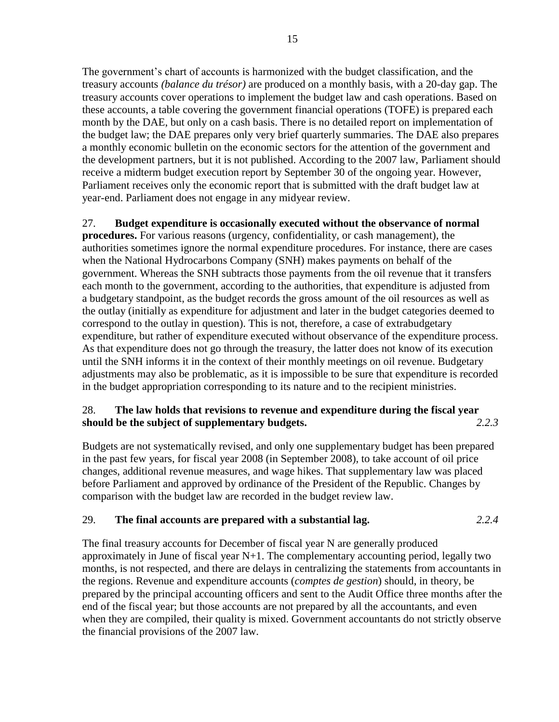The government's chart of accounts is harmonized with the budget classification, and the treasury accounts *(balance du trésor)* are produced on a monthly basis, with a 20-day gap. The treasury accounts cover operations to implement the budget law and cash operations. Based on these accounts, a table covering the government financial operations (TOFE) is prepared each month by the DAE, but only on a cash basis. There is no detailed report on implementation of the budget law; the DAE prepares only very brief quarterly summaries. The DAE also prepares a monthly economic bulletin on the economic sectors for the attention of the government and the development partners, but it is not published. According to the 2007 law, Parliament should receive a midterm budget execution report by September 30 of the ongoing year. However, Parliament receives only the economic report that is submitted with the draft budget law at year-end. Parliament does not engage in any midyear review.

# <span id="page-15-0"></span>27. **Budget expenditure is occasionally executed without the observance of normal**

**procedures.** For various reasons (urgency, confidentiality, or cash management), the authorities sometimes ignore the normal expenditure procedures. For instance, there are cases when the National Hydrocarbons Company (SNH) makes payments on behalf of the government. Whereas the SNH subtracts those payments from the oil revenue that it transfers each month to the government, according to the authorities, that expenditure is adjusted from a budgetary standpoint, as the budget records the gross amount of the oil resources as well as the outlay (initially as expenditure for adjustment and later in the budget categories deemed to correspond to the outlay in question). This is not, therefore, a case of extrabudgetary expenditure, but rather of expenditure executed without observance of the expenditure process. As that expenditure does not go through the treasury, the latter does not know of its execution until the SNH informs it in the context of their monthly meetings on oil revenue. Budgetary adjustments may also be problematic, as it is impossible to be sure that expenditure is recorded in the budget appropriation corresponding to its nature and to the recipient ministries.

# 28. **The law holds that revisions to revenue and expenditure during the fiscal year should be the subject of supplementary budgets.** *2.2.3*

Budgets are not systematically revised, and only one supplementary budget has been prepared in the past few years, for fiscal year 2008 (in September 2008), to take account of oil price changes, additional revenue measures, and wage hikes. That supplementary law was placed before Parliament and approved by ordinance of the President of the Republic. Changes by comparison with the budget law are recorded in the budget review law.

# 29. **The final accounts are prepared with a substantial lag.** *2.2.4*

The final treasury accounts for December of fiscal year N are generally produced approximately in June of fiscal year N+1. The complementary accounting period, legally two months, is not respected, and there are delays in centralizing the statements from accountants in the regions. Revenue and expenditure accounts (*comptes de gestion*) should, in theory, be prepared by the principal accounting officers and sent to the Audit Office three months after the end of the fiscal year; but those accounts are not prepared by all the accountants, and even when they are compiled, their quality is mixed. Government accountants do not strictly observe the financial provisions of the 2007 law.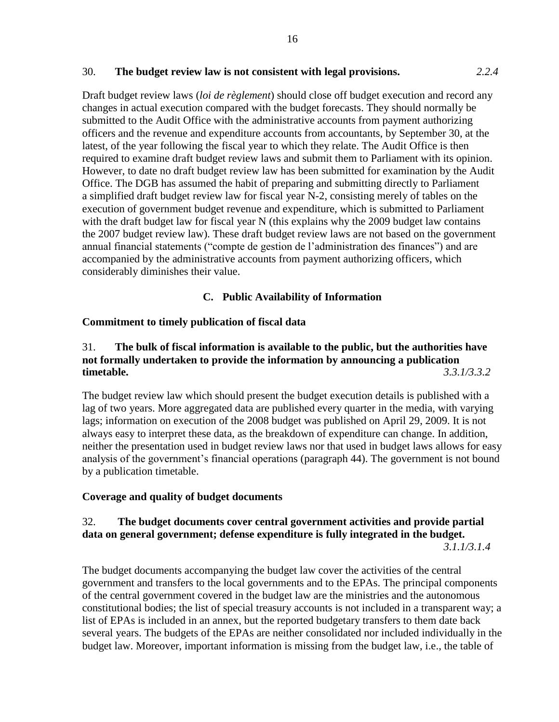#### 30. **The budget review law is not consistent with legal provisions.** *2.2.4*

Draft budget review laws (*loi de règlement*) should close off budget execution and record any changes in actual execution compared with the budget forecasts. They should normally be submitted to the Audit Office with the administrative accounts from payment authorizing officers and the revenue and expenditure accounts from accountants, by September 30, at the latest, of the year following the fiscal year to which they relate. The Audit Office is then required to examine draft budget review laws and submit them to Parliament with its opinion. However, to date no draft budget review law has been submitted for examination by the Audit Office. The DGB has assumed the habit of preparing and submitting directly to Parliament a simplified draft budget review law for fiscal year N-2, consisting merely of tables on the execution of government budget revenue and expenditure, which is submitted to Parliament with the draft budget law for fiscal year N (this explains why the 2009 budget law contains the 2007 budget review law). These draft budget review laws are not based on the government annual financial statements ("compte de gestion de l'administration des finances") and are accompanied by the administrative accounts from payment authorizing officers, which considerably diminishes their value.

### **C. Public Availability of Information**

### **Commitment to timely publication of fiscal data**

# 31. **The bulk of fiscal information is available to the public, but the authorities have not formally undertaken to provide the information by announcing a publication timetable.** *3.3.1/3.3.2*

The budget review law which should present the budget execution details is published with a lag of two years. More aggregated data are published every quarter in the media, with varying lags; information on execution of the 2008 budget was published on April 29, 2009. It is not always easy to interpret these data, as the breakdown of expenditure can change. In addition, neither the presentation used in budget review laws nor that used in budget laws allows for easy analysis of the government's financial operations (paragraph 44). The government is not bound by a publication timetable.

# **Coverage and quality of budget documents**

# 32. **The budget documents cover central government activities and provide partial data on general government; defense expenditure is fully integrated in the budget.**

*3.1.1/3.1.4*

The budget documents accompanying the budget law cover the activities of the central government and transfers to the local governments and to the EPAs. The principal components of the central government covered in the budget law are the ministries and the autonomous constitutional bodies; the list of special treasury accounts is not included in a transparent way; a list of EPAs is included in an annex, but the reported budgetary transfers to them date back several years. The budgets of the EPAs are neither consolidated nor included individually in the budget law. Moreover, important information is missing from the budget law, i.e., the table of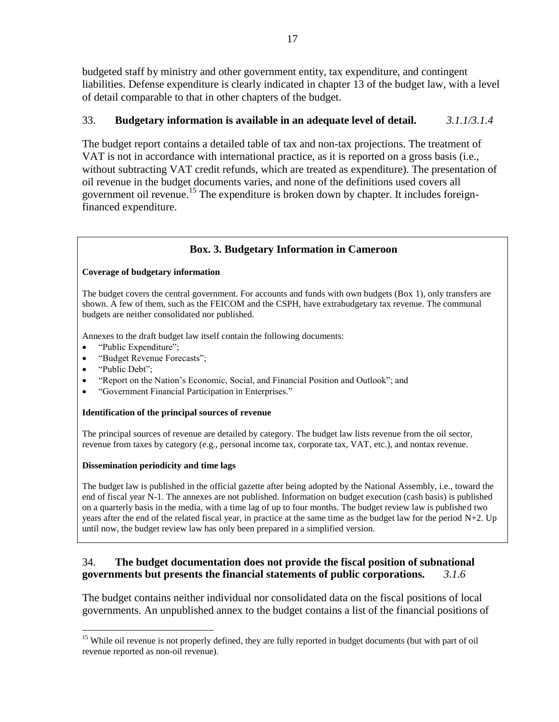budgeted staff by ministry and other government entity, tax expenditure, and contingent liabilities. Defense expenditure is clearly indicated in chapter 13 of the budget law, with a level of detail comparable to that in other chapters of the budget.

# 33. **Budgetary information is available in an adequate level of detail.** *3.1.1/3.1.4*

The budget report contains a detailed table of tax and non-tax projections. The treatment of VAT is not in accordance with international practice, as it is reported on a gross basis (i.e., without subtracting VAT credit refunds, which are treated as expenditure). The presentation of oil revenue in the budget documents varies, and none of the definitions used covers all government oil revenue.<sup>15</sup> The expenditure is broken down by chapter. It includes foreignfinanced expenditure.

# **Box. 3. Budgetary Information in Cameroon**

#### **Coverage of budgetary information**

The budget covers the central government. For accounts and funds with own budgets (Box 1), only transfers are shown. A few of them, such as the FEICOM and the CSPH, have extrabudgetary tax revenue. The communal budgets are neither consolidated nor published.

Annexes to the draft budget law itself contain the following documents:

- "Public Expenditure";
- ―Budget Revenue Forecasts‖;
- "Public Debt";
- "Report on the Nation's Economic, Social, and Financial Position and Outlook"; and
- ―Government Financial Participation in Enterprises.‖

#### **Identification of the principal sources of revenue**

The principal sources of revenue are detailed by category. The budget law lists revenue from the oil sector, revenue from taxes by category (e.g., personal income tax, corporate tax, VAT, etc.), and nontax revenue.

#### **Dissemination periodicity and time lags**

The budget law is published in the official gazette after being adopted by the National Assembly, i.e., toward the end of fiscal year N-1. The annexes are not published. Information on budget execution (cash basis) is published on a quarterly basis in the media, with a time lag of up to four months. The budget review law is published two years after the end of the related fiscal year, in practice at the same time as the budget law for the period N+2. Up until now, the budget review law has only been prepared in a simplified version.

# 34. **The budget documentation does not provide the fiscal position of subnational governments but presents the financial statements of public corporations.** *3.1.6*

The budget contains neither individual nor consolidated data on the fiscal positions of local governments. An unpublished annex to the budget contains a list of the financial positions of

 $\overline{a}$ <sup>15</sup> While oil revenue is not properly defined, they are fully reported in budget documents (but with part of oil revenue reported as non-oil revenue).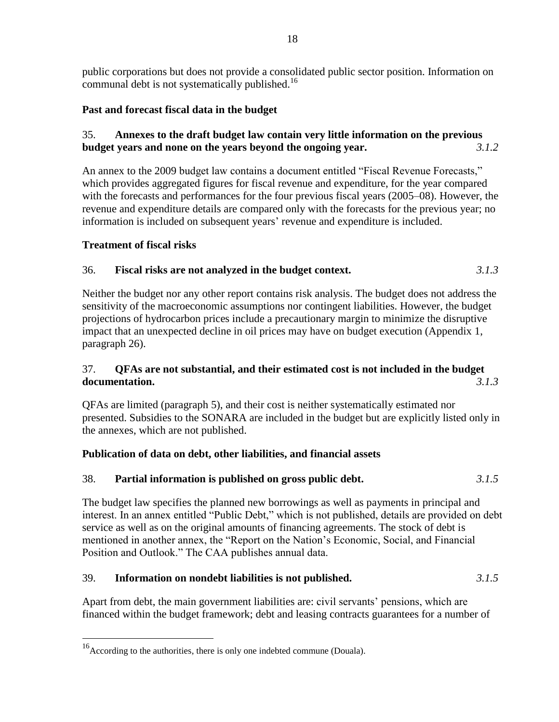public corporations but does not provide a consolidated public sector position. Information on communal debt is not systematically published.<sup>16</sup>

# **Past and forecast fiscal data in the budget**

# 35. **Annexes to the draft budget law contain very little information on the previous budget years and none on the years beyond the ongoing year.** *3.1.2*

An annex to the 2009 budget law contains a document entitled "Fiscal Revenue Forecasts," which provides aggregated figures for fiscal revenue and expenditure, for the year compared with the forecasts and performances for the four previous fiscal years (2005–08). However, the revenue and expenditure details are compared only with the forecasts for the previous year; no information is included on subsequent years' revenue and expenditure is included.

# **Treatment of fiscal risks**

 $\overline{a}$ 

# 36. **Fiscal risks are not analyzed in the budget context.** *3.1.3*

Neither the budget nor any other report contains risk analysis. The budget does not address the sensitivity of the macroeconomic assumptions nor contingent liabilities. However, the budget projections of hydrocarbon prices include a precautionary margin to minimize the disruptive impact that an unexpected decline in oil prices may have on budget execution (Appendix 1, paragraph 26).

# 37. **QFAs are not substantial, and their estimated cost is not included in the budget documentation.** *3.1.3*

QFAs are limited (paragraph 5), and their cost is neither systematically estimated nor presented. Subsidies to the SONARA are included in the budget but are explicitly listed only in the annexes, which are not published.

# **Publication of data on debt, other liabilities, and financial assets**

# 38. **Partial information is published on gross public debt.** *3.1.5*

The budget law specifies the planned new borrowings as well as payments in principal and interest. In an annex entitled "Public Debt," which is not published, details are provided on debt service as well as on the original amounts of financing agreements. The stock of debt is mentioned in another annex, the "Report on the Nation's Economic, Social, and Financial Position and Outlook." The CAA publishes annual data.

# 39. **Information on nondebt liabilities is not published.** *3.1.5*

Apart from debt, the main government liabilities are: civil servants' pensions, which are financed within the budget framework; debt and leasing contracts guarantees for a number of

 $16$ According to the authorities, there is only one indebted commune (Douala).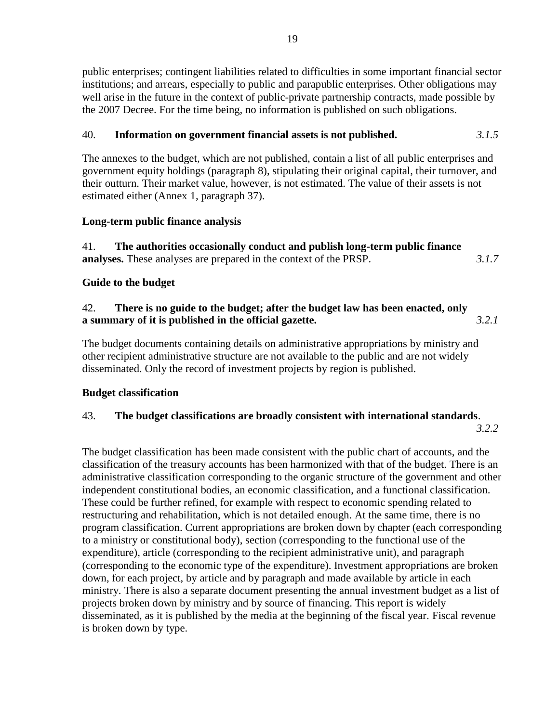public enterprises; contingent liabilities related to difficulties in some important financial sector institutions; and arrears, especially to public and parapublic enterprises. Other obligations may well arise in the future in the context of public-private partnership contracts, made possible by the 2007 Decree. For the time being, no information is published on such obligations.

# 40. **Information on government financial assets is not published.** *3.1.5*

The annexes to the budget, which are not published, contain a list of all public enterprises and government equity holdings (paragraph 8), stipulating their original capital, their turnover, and their outturn. Their market value, however, is not estimated. The value of their assets is not estimated either (Annex 1, paragraph 37).

# **Long-term public finance analysis**

41. **The authorities occasionally conduct and publish long-term public finance analyses.** These analyses are prepared in the context of the PRSP. *3.1.7*

# **Guide to the budget**

# 42. **There is no guide to the budget; after the budget law has been enacted, only a summary of it is published in the official gazette.** *3.2.1*

The budget documents containing details on administrative appropriations by ministry and other recipient administrative structure are not available to the public and are not widely disseminated. Only the record of investment projects by region is published.

# **Budget classification**

# 43. **The budget classifications are broadly consistent with international standards**.

*3.2.2*

The budget classification has been made consistent with the public chart of accounts, and the classification of the treasury accounts has been harmonized with that of the budget. There is an administrative classification corresponding to the organic structure of the government and other independent constitutional bodies, an economic classification, and a functional classification. These could be further refined, for example with respect to economic spending related to restructuring and rehabilitation, which is not detailed enough. At the same time, there is no program classification. Current appropriations are broken down by chapter (each corresponding to a ministry or constitutional body), section (corresponding to the functional use of the expenditure), article (corresponding to the recipient administrative unit), and paragraph (corresponding to the economic type of the expenditure). Investment appropriations are broken down, for each project, by article and by paragraph and made available by article in each ministry. There is also a separate document presenting the annual investment budget as a list of projects broken down by ministry and by source of financing. This report is widely disseminated, as it is published by the media at the beginning of the fiscal year. Fiscal revenue is broken down by type.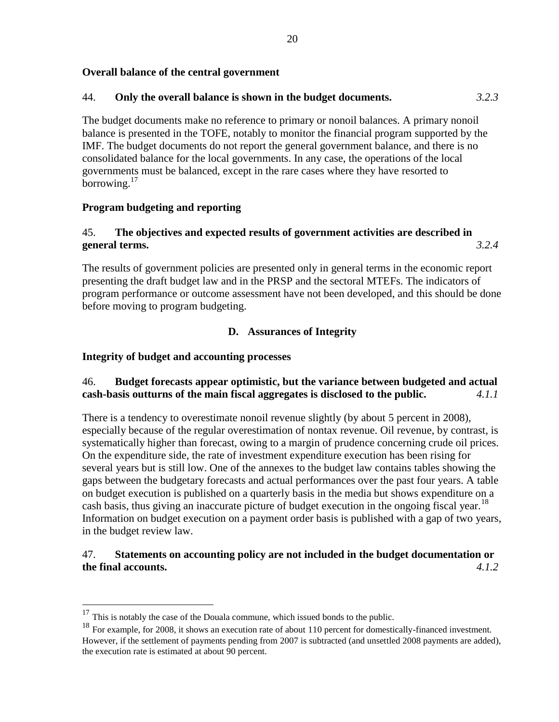### **Overall balance of the central government**

# 44. **Only the overall balance is shown in the budget documents.** *3.2.3*

The budget documents make no reference to primary or nonoil balances. A primary nonoil balance is presented in the TOFE, notably to monitor the financial program supported by the IMF. The budget documents do not report the general government balance, and there is no consolidated balance for the local governments. In any case, the operations of the local governments must be balanced, except in the rare cases where they have resorted to borrowing.<sup>17</sup>

### **Program budgeting and reporting**

# 45. **The objectives and expected results of government activities are described in general terms.** *3.2.4*

The results of government policies are presented only in general terms in the economic report presenting the draft budget law and in the PRSP and the sectoral MTEFs. The indicators of program performance or outcome assessment have not been developed, and this should be done before moving to program budgeting.

# **D. Assurances of Integrity**

### **Integrity of budget and accounting processes**

 $\overline{a}$ 

# 46. **Budget forecasts appear optimistic, but the variance between budgeted and actual cash-basis outturns of the main fiscal aggregates is disclosed to the public.** *4.1.1*

There is a tendency to overestimate nonoil revenue slightly (by about 5 percent in 2008), especially because of the regular overestimation of nontax revenue. Oil revenue, by contrast, is systematically higher than forecast, owing to a margin of prudence concerning crude oil prices. On the expenditure side, the rate of investment expenditure execution has been rising for several years but is still low. One of the annexes to the budget law contains tables showing the gaps between the budgetary forecasts and actual performances over the past four years. A table on budget execution is published on a quarterly basis in the media but shows expenditure on a cash basis, thus giving an inaccurate picture of budget execution in the ongoing fiscal year.<sup>18</sup> Information on budget execution on a payment order basis is published with a gap of two years, in the budget review law.

# 47. **Statements on accounting policy are not included in the budget documentation or the final accounts.** *4.1.2*

 $17$  This is notably the case of the Douala commune, which issued bonds to the public.

<sup>&</sup>lt;sup>18</sup> For example, for 2008, it shows an execution rate of about 110 percent for domestically-financed investment. However, if the settlement of payments pending from 2007 is subtracted (and unsettled 2008 payments are added), the execution rate is estimated at about 90 percent.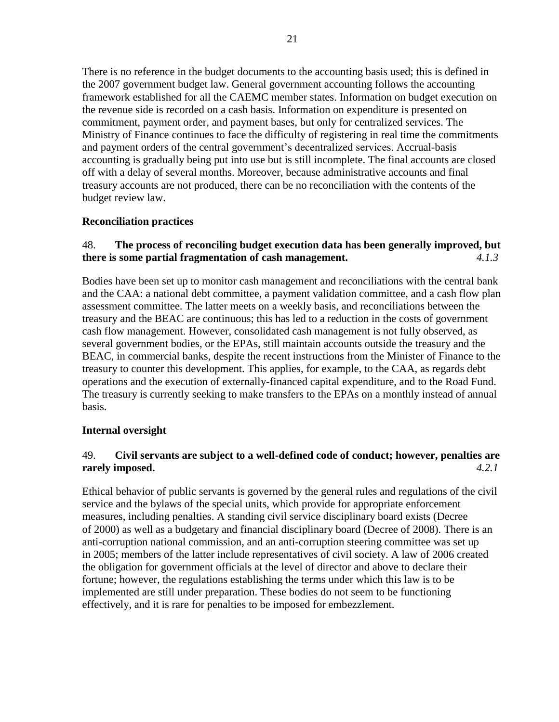There is no reference in the budget documents to the accounting basis used; this is defined in the 2007 government budget law. General government accounting follows the accounting framework established for all the CAEMC member states. Information on budget execution on the revenue side is recorded on a cash basis. Information on expenditure is presented on commitment, payment order, and payment bases, but only for centralized services. The Ministry of Finance continues to face the difficulty of registering in real time the commitments and payment orders of the central government's decentralized services. Accrual-basis accounting is gradually being put into use but is still incomplete. The final accounts are closed off with a delay of several months. Moreover, because administrative accounts and final treasury accounts are not produced, there can be no reconciliation with the contents of the budget review law.

### **Reconciliation practices**

# 48. **The process of reconciling budget execution data has been generally improved, but there is some partial fragmentation of cash management.** *4.1.3*

Bodies have been set up to monitor cash management and reconciliations with the central bank and the CAA: a national debt committee, a payment validation committee, and a cash flow plan assessment committee. The latter meets on a weekly basis, and reconciliations between the treasury and the BEAC are continuous; this has led to a reduction in the costs of government cash flow management. However, consolidated cash management is not fully observed, as several government bodies, or the EPAs, still maintain accounts outside the treasury and the BEAC, in commercial banks, despite the recent instructions from the Minister of Finance to the treasury to counter this development. This applies, for example, to the CAA, as regards debt operations and the execution of externally-financed capital expenditure, and to the Road Fund. The treasury is currently seeking to make transfers to the EPAs on a monthly instead of annual basis.

#### **Internal oversight**

# 49. **Civil servants are subject to a well-defined code of conduct; however, penalties are rarely imposed.** *4.2.1*

Ethical behavior of public servants is governed by the general rules and regulations of the civil service and the bylaws of the special units, which provide for appropriate enforcement measures, including penalties. A standing civil service disciplinary board exists (Decree of 2000) as well as a budgetary and financial disciplinary board (Decree of 2008). There is an anti-corruption national commission, and an anti-corruption steering committee was set up in 2005; members of the latter include representatives of civil society. A law of 2006 created the obligation for government officials at the level of director and above to declare their fortune; however, the regulations establishing the terms under which this law is to be implemented are still under preparation. These bodies do not seem to be functioning effectively, and it is rare for penalties to be imposed for embezzlement.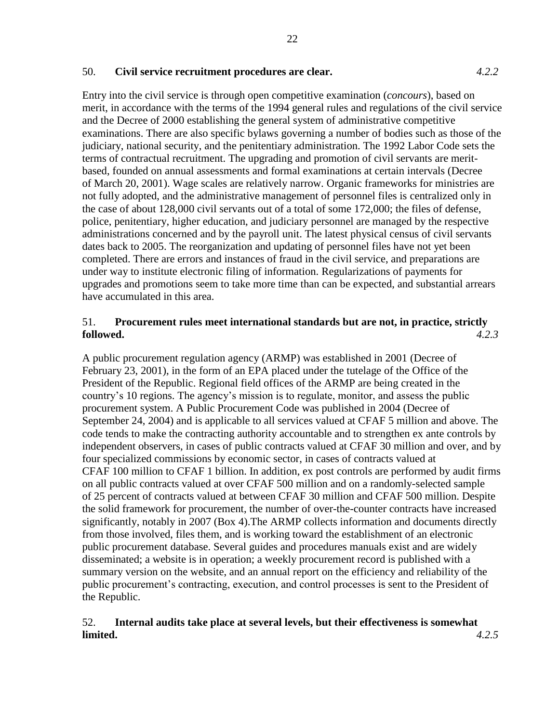#### 50. **Civil service recruitment procedures are clear.** *4.2.2*

Entry into the civil service is through open competitive examination (*concours*), based on merit, in accordance with the terms of the 1994 general rules and regulations of the civil service and the Decree of 2000 establishing the general system of administrative competitive examinations. There are also specific bylaws governing a number of bodies such as those of the judiciary, national security, and the penitentiary administration. The 1992 Labor Code sets the terms of contractual recruitment. The upgrading and promotion of civil servants are meritbased, founded on annual assessments and formal examinations at certain intervals (Decree of March 20, 2001). Wage scales are relatively narrow. Organic frameworks for ministries are not fully adopted, and the administrative management of personnel files is centralized only in the case of about 128,000 civil servants out of a total of some 172,000; the files of defense, police, penitentiary, higher education, and judiciary personnel are managed by the respective administrations concerned and by the payroll unit. The latest physical census of civil servants dates back to 2005. The reorganization and updating of personnel files have not yet been completed. There are errors and instances of fraud in the civil service, and preparations are under way to institute electronic filing of information. Regularizations of payments for upgrades and promotions seem to take more time than can be expected, and substantial arrears have accumulated in this area.

#### 51. **Procurement rules meet international standards but are not, in practice, strictly followed.** *4.2.3*

A public procurement regulation agency (ARMP) was established in 2001 (Decree of February 23, 2001), in the form of an EPA placed under the tutelage of the Office of the President of the Republic. Regional field offices of the ARMP are being created in the country's 10 regions. The agency's mission is to regulate, monitor, and assess the public procurement system. A Public Procurement Code was published in 2004 (Decree of September 24, 2004) and is applicable to all services valued at CFAF 5 million and above. The code tends to make the contracting authority accountable and to strengthen ex ante controls by independent observers, in cases of public contracts valued at CFAF 30 million and over, and by four specialized commissions by economic sector, in cases of contracts valued at CFAF 100 million to CFAF 1 billion. In addition, ex post controls are performed by audit firms on all public contracts valued at over CFAF 500 million and on a randomly-selected sample of 25 percent of contracts valued at between CFAF 30 million and CFAF 500 million. Despite the solid framework for procurement, the number of over-the-counter contracts have increased significantly, notably in 2007 (Box 4).The ARMP collects information and documents directly from those involved, files them, and is working toward the establishment of an electronic public procurement database. Several guides and procedures manuals exist and are widely disseminated; a website is in operation; a weekly procurement record is published with a summary version on the website, and an annual report on the efficiency and reliability of the public procurement's contracting, execution, and control processes is sent to the President of the Republic.

### 52. **Internal audits take place at several levels, but their effectiveness is somewhat limited.** *4.2.5*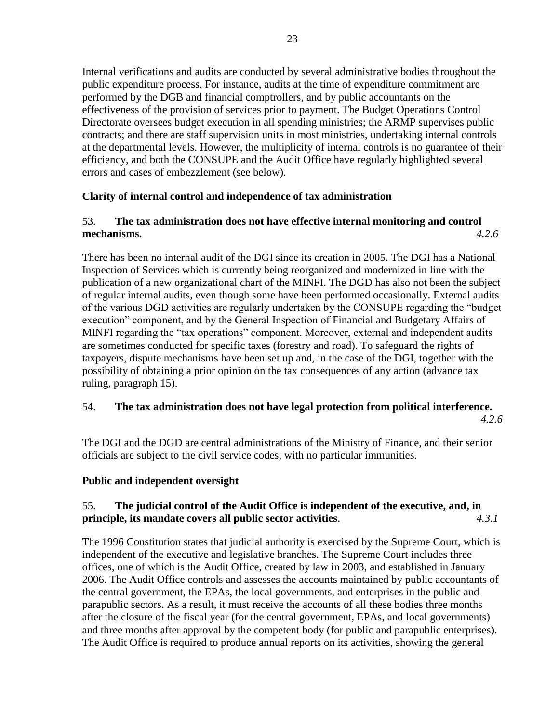Internal verifications and audits are conducted by several administrative bodies throughout the public expenditure process. For instance, audits at the time of expenditure commitment are performed by the DGB and financial comptrollers, and by public accountants on the effectiveness of the provision of services prior to payment. The Budget Operations Control Directorate oversees budget execution in all spending ministries; the ARMP supervises public contracts; and there are staff supervision units in most ministries, undertaking internal controls at the departmental levels. However, the multiplicity of internal controls is no guarantee of their efficiency, and both the CONSUPE and the Audit Office have regularly highlighted several errors and cases of embezzlement (see below).

# **Clarity of internal control and independence of tax administration**

# 53. **The tax administration does not have effective internal monitoring and control mechanisms.** *4.2.6*

There has been no internal audit of the DGI since its creation in 2005. The DGI has a National Inspection of Services which is currently being reorganized and modernized in line with the publication of a new organizational chart of the MINFI. The DGD has also not been the subject of regular internal audits, even though some have been performed occasionally. External audits of the various DGD activities are regularly undertaken by the CONSUPE regarding the "budget" execution" component, and by the General Inspection of Financial and Budgetary Affairs of MINFI regarding the "tax operations" component. Moreover, external and independent audits are sometimes conducted for specific taxes (forestry and road). To safeguard the rights of taxpayers, dispute mechanisms have been set up and, in the case of the DGI, together with the possibility of obtaining a prior opinion on the tax consequences of any action (advance tax ruling, paragraph [15\)](#page-9-0).

# 54. **The tax administration does not have legal protection from political interference.**

*4.2.6*

The DGI and the DGD are central administrations of the Ministry of Finance, and their senior officials are subject to the civil service codes, with no particular immunities.

# **Public and independent oversight**

# 55. **The judicial control of the Audit Office is independent of the executive, and, in principle, its mandate covers all public sector activities**. *4.3.1*

The 1996 Constitution states that judicial authority is exercised by the Supreme Court, which is independent of the executive and legislative branches. The Supreme Court includes three offices, one of which is the Audit Office, created by law in 2003, and established in January 2006. The Audit Office controls and assesses the accounts maintained by public accountants of the central government, the EPAs, the local governments, and enterprises in the public and parapublic sectors. As a result, it must receive the accounts of all these bodies three months after the closure of the fiscal year (for the central government, EPAs, and local governments) and three months after approval by the competent body (for public and parapublic enterprises). The Audit Office is required to produce annual reports on its activities, showing the general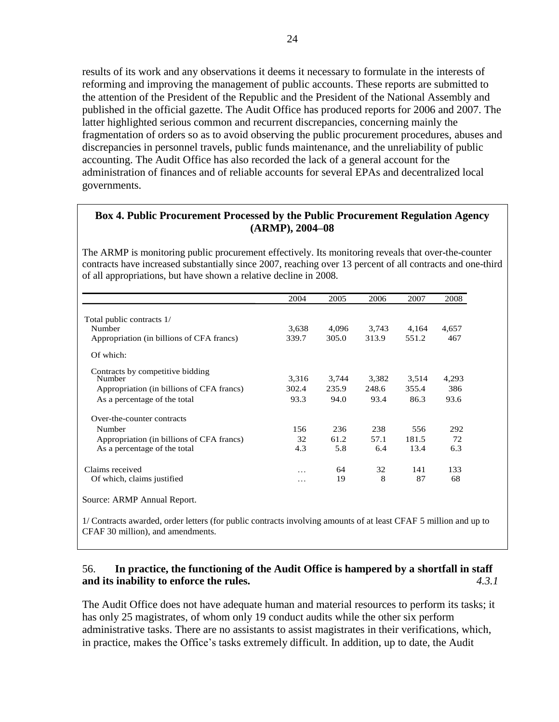results of its work and any observations it deems it necessary to formulate in the interests of reforming and improving the management of public accounts. These reports are submitted to the attention of the President of the Republic and the President of the National Assembly and published in the official gazette. The Audit Office has produced reports for 2006 and 2007. The latter highlighted serious common and recurrent discrepancies, concerning mainly the fragmentation of orders so as to avoid observing the public procurement procedures, abuses and discrepancies in personnel travels, public funds maintenance, and the unreliability of public accounting. The Audit Office has also recorded the lack of a general account for the administration of finances and of reliable accounts for several EPAs and decentralized local governments.

#### **Box 4. Public Procurement Processed by the Public Procurement Regulation Agency (ARMP), 2004–08**

The ARMP is monitoring public procurement effectively. Its monitoring reveals that over-the-counter contracts have increased substantially since 2007, reaching over 13 percent of all contracts and one-third of all appropriations, but have shown a relative decline in 2008.

|                                           | 2004  | 2005  | 2006  | 2007  | 2008  |
|-------------------------------------------|-------|-------|-------|-------|-------|
| Total public contracts 1/                 |       |       |       |       |       |
| Number                                    | 3,638 | 4,096 | 3,743 | 4,164 | 4,657 |
| Appropriation (in billions of CFA francs) | 339.7 | 305.0 | 313.9 | 551.2 | 467   |
| Of which:                                 |       |       |       |       |       |
| Contracts by competitive bidding          |       |       |       |       |       |
| Number                                    | 3,316 | 3,744 | 3,382 | 3,514 | 4,293 |
| Appropriation (in billions of CFA francs) | 302.4 | 235.9 | 248.6 | 355.4 | 386   |
| As a percentage of the total              | 93.3  | 94.0  | 93.4  | 86.3  | 93.6  |
| Over-the-counter contracts                |       |       |       |       |       |
| Number                                    | 156   | 236   | 238   | 556   | 292   |
| Appropriation (in billions of CFA francs) | 32    | 61.2  | 57.1  | 181.5 | 72    |
| As a percentage of the total              | 4.3   | 5.8   | 6.4   | 13.4  | 6.3   |
| Claims received                           | .     | 64    | 32    | 141   | 133   |
| Of which, claims justified                | .     | 19    | 8     | 87    | 68    |
| Source: ARMP Annual Report.               |       |       |       |       |       |

1/ Contracts awarded, order letters (for public contracts involving amounts of at least CFAF 5 million and up to CFAF 30 million), and amendments.

#### 56. **In practice, the functioning of the Audit Office is hampered by a shortfall in staff and its inability to enforce the rules.** *4.3.1*

The Audit Office does not have adequate human and material resources to perform its tasks; it has only 25 magistrates, of whom only 19 conduct audits while the other six perform administrative tasks. There are no assistants to assist magistrates in their verifications, which, in practice, makes the Office's tasks extremely difficult. In addition, up to date, the Audit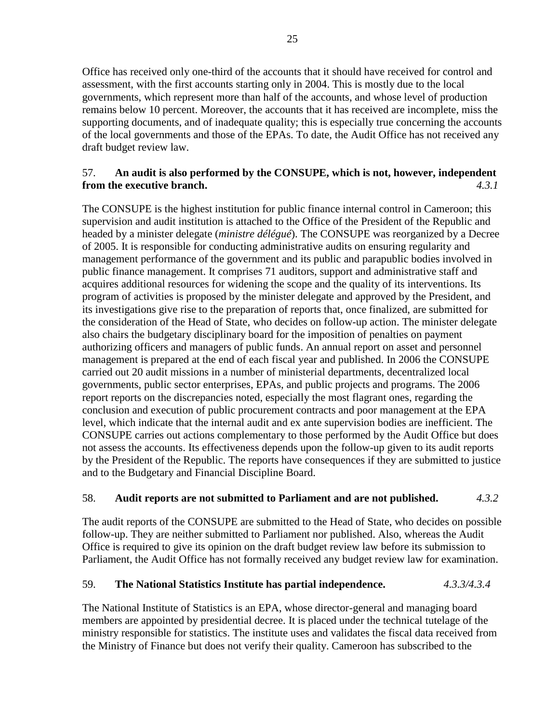Office has received only one-third of the accounts that it should have received for control and assessment, with the first accounts starting only in 2004. This is mostly due to the local governments, which represent more than half of the accounts, and whose level of production remains below 10 percent. Moreover, the accounts that it has received are incomplete, miss the supporting documents, and of inadequate quality; this is especially true concerning the accounts of the local governments and those of the EPAs. To date, the Audit Office has not received any draft budget review law.

# 57. **An audit is also performed by the CONSUPE, which is not, however, independent from the executive branch.** *4.3.1*

The CONSUPE is the highest institution for public finance internal control in Cameroon; this supervision and audit institution is attached to the Office of the President of the Republic and headed by a minister delegate (*ministre délégué*). The CONSUPE was reorganized by a Decree of 2005. It is responsible for conducting administrative audits on ensuring regularity and management performance of the government and its public and parapublic bodies involved in public finance management. It comprises 71 auditors, support and administrative staff and acquires additional resources for widening the scope and the quality of its interventions. Its program of activities is proposed by the minister delegate and approved by the President, and its investigations give rise to the preparation of reports that, once finalized, are submitted for the consideration of the Head of State, who decides on follow-up action. The minister delegate also chairs the budgetary disciplinary board for the imposition of penalties on payment authorizing officers and managers of public funds. An annual report on asset and personnel management is prepared at the end of each fiscal year and published. In 2006 the CONSUPE carried out 20 audit missions in a number of ministerial departments, decentralized local governments, public sector enterprises, EPAs, and public projects and programs. The 2006 report reports on the discrepancies noted, especially the most flagrant ones, regarding the conclusion and execution of public procurement contracts and poor management at the EPA level, which indicate that the internal audit and ex ante supervision bodies are inefficient. The CONSUPE carries out actions complementary to those performed by the Audit Office but does not assess the accounts. Its effectiveness depends upon the follow-up given to its audit reports by the President of the Republic. The reports have consequences if they are submitted to justice and to the Budgetary and Financial Discipline Board.

# 58. **Audit reports are not submitted to Parliament and are not published.** *4.3.2*

The audit reports of the CONSUPE are submitted to the Head of State, who decides on possible follow-up. They are neither submitted to Parliament nor published. Also, whereas the Audit Office is required to give its opinion on the draft budget review law before its submission to Parliament, the Audit Office has not formally received any budget review law for examination.

# 59. **The National Statistics Institute has partial independence.** *4.3.3/4.3.4*

The National Institute of Statistics is an EPA, whose director-general and managing board members are appointed by presidential decree. It is placed under the technical tutelage of the ministry responsible for statistics. The institute uses and validates the fiscal data received from the Ministry of Finance but does not verify their quality. Cameroon has subscribed to the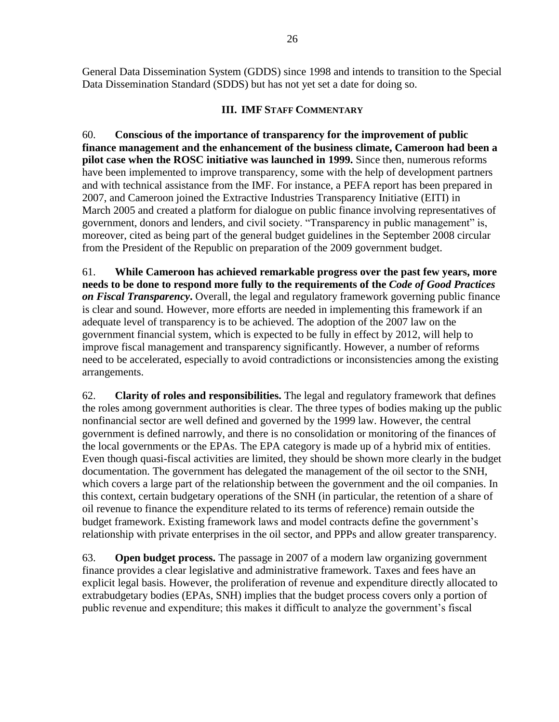General Data Dissemination System (GDDS) since 1998 and intends to transition to the Special Data Dissemination Standard (SDDS) but has not yet set a date for doing so.

### **III. IMF STAFF COMMENTARY**

60. **Conscious of the importance of transparency for the improvement of public finance management and the enhancement of the business climate, Cameroon had been a pilot case when the ROSC initiative was launched in 1999.** Since then, numerous reforms have been implemented to improve transparency, some with the help of development partners and with technical assistance from the IMF. For instance, a PEFA report has been prepared in 2007, and Cameroon joined the Extractive Industries Transparency Initiative (EITI) in March 2005 and created a platform for dialogue on public finance involving representatives of government, donors and lenders, and civil society. "Transparency in public management" is, moreover, cited as being part of the general budget guidelines in the September 2008 circular from the President of the Republic on preparation of the 2009 government budget.

61. **While Cameroon has achieved remarkable progress over the past few years, more needs to be done to respond more fully to the requirements of the** *Code of Good Practices on Fiscal Transparency***.** Overall, the legal and regulatory framework governing public finance is clear and sound. However, more efforts are needed in implementing this framework if an adequate level of transparency is to be achieved. The adoption of the 2007 law on the government financial system, which is expected to be fully in effect by 2012, will help to improve fiscal management and transparency significantly. However, a number of reforms need to be accelerated, especially to avoid contradictions or inconsistencies among the existing arrangements.

62. **Clarity of roles and responsibilities.** The legal and regulatory framework that defines the roles among government authorities is clear. The three types of bodies making up the public nonfinancial sector are well defined and governed by the 1999 law. However, the central government is defined narrowly, and there is no consolidation or monitoring of the finances of the local governments or the EPAs. The EPA category is made up of a hybrid mix of entities. Even though quasi-fiscal activities are limited, they should be shown more clearly in the budget documentation. The government has delegated the management of the oil sector to the SNH, which covers a large part of the relationship between the government and the oil companies. In this context, certain budgetary operations of the SNH (in particular, the retention of a share of oil revenue to finance the expenditure related to its terms of reference) remain outside the budget framework. Existing framework laws and model contracts define the government's relationship with private enterprises in the oil sector, and PPPs and allow greater transparency.

63. **Open budget process.** The passage in 2007 of a modern law organizing government finance provides a clear legislative and administrative framework. Taxes and fees have an explicit legal basis. However, the proliferation of revenue and expenditure directly allocated to extrabudgetary bodies (EPAs, SNH) implies that the budget process covers only a portion of public revenue and expenditure; this makes it difficult to analyze the government's fiscal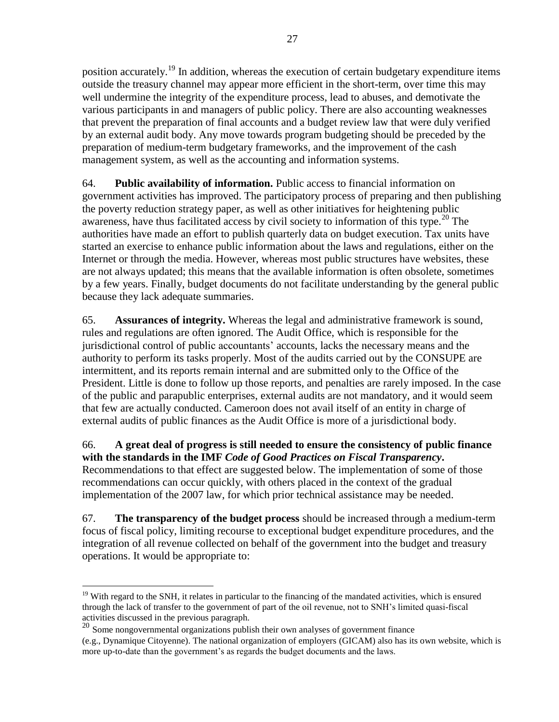position accurately.<sup>19</sup> In addition, whereas the execution of certain budgetary expenditure items outside the treasury channel may appear more efficient in the short-term, over time this may well undermine the integrity of the expenditure process, lead to abuses, and demotivate the various participants in and managers of public policy. There are also accounting weaknesses that prevent the preparation of final accounts and a budget review law that were duly verified by an external audit body. Any move towards program budgeting should be preceded by the preparation of medium-term budgetary frameworks, and the improvement of the cash management system, as well as the accounting and information systems.

64. **Public availability of information.** Public access to financial information on government activities has improved. The participatory process of preparing and then publishing the poverty reduction strategy paper, as well as other initiatives for heightening public awareness, have thus facilitated access by civil society to information of this type.<sup>20</sup> The authorities have made an effort to publish quarterly data on budget execution. Tax units have started an exercise to enhance public information about the laws and regulations, either on the Internet or through the media. However, whereas most public structures have websites, these are not always updated; this means that the available information is often obsolete, sometimes by a few years. Finally, budget documents do not facilitate understanding by the general public because they lack adequate summaries.

65. **Assurances of integrity.** Whereas the legal and administrative framework is sound, rules and regulations are often ignored. The Audit Office, which is responsible for the jurisdictional control of public accountants' accounts, lacks the necessary means and the authority to perform its tasks properly. Most of the audits carried out by the CONSUPE are intermittent, and its reports remain internal and are submitted only to the Office of the President. Little is done to follow up those reports, and penalties are rarely imposed. In the case of the public and parapublic enterprises, external audits are not mandatory, and it would seem that few are actually conducted. Cameroon does not avail itself of an entity in charge of external audits of public finances as the Audit Office is more of a jurisdictional body.

66. **A great deal of progress is still needed to ensure the consistency of public finance with the standards in the IMF** *Code of Good Practices on Fiscal Transparency***.** Recommendations to that effect are suggested below. The implementation of some of those recommendations can occur quickly, with others placed in the context of the gradual implementation of the 2007 law, for which prior technical assistance may be needed.

67. **The transparency of the budget process** should be increased through a medium-term focus of fiscal policy, limiting recourse to exceptional budget expenditure procedures, and the integration of all revenue collected on behalf of the government into the budget and treasury operations. It would be appropriate to:

 $\overline{a}$ <sup>19</sup> With regard to the SNH, it relates in particular to the financing of the mandated activities, which is ensured through the lack of transfer to the government of part of the oil revenue, not to SNH's limited quasi-fiscal activities discussed in the previous paragraph.

<sup>&</sup>lt;sup>20</sup> Some nongovernmental organizations publish their own analyses of government finance

<sup>(</sup>e.g., Dynamique Citoyenne). The national organization of employers (GICAM) also has its own website, which is more up-to-date than the government's as regards the budget documents and the laws.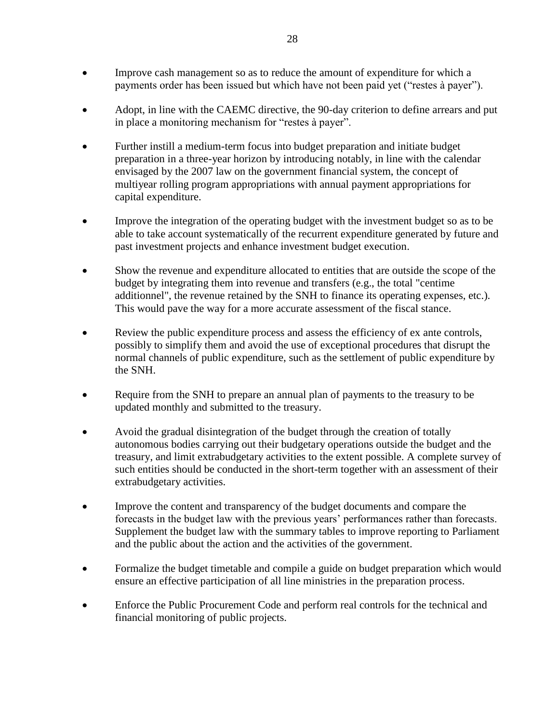- Improve cash management so as to reduce the amount of expenditure for which a payments order has been issued but which have not been paid yet ("restes à payer").
- Adopt, in line with the CAEMC directive, the 90-day criterion to define arrears and put in place a monitoring mechanism for "restes à payer".
- Further instill a medium-term focus into budget preparation and initiate budget preparation in a three-year horizon by introducing notably, in line with the calendar envisaged by the 2007 law on the government financial system, the concept of multiyear rolling program appropriations with annual payment appropriations for capital expenditure.
- Improve the integration of the operating budget with the investment budget so as to be able to take account systematically of the recurrent expenditure generated by future and past investment projects and enhance investment budget execution.
- Show the revenue and expenditure allocated to entities that are outside the scope of the budget by integrating them into revenue and transfers (e.g., the total "centime additionnel", the revenue retained by the SNH to finance its operating expenses, etc.). This would pave the way for a more accurate assessment of the fiscal stance.
- Review the public expenditure process and assess the efficiency of ex ante controls, possibly to simplify them and avoid the use of exceptional procedures that disrupt the normal channels of public expenditure, such as the settlement of public expenditure by the SNH.
- Require from the SNH to prepare an annual plan of payments to the treasury to be updated monthly and submitted to the treasury.
- Avoid the gradual disintegration of the budget through the creation of totally autonomous bodies carrying out their budgetary operations outside the budget and the treasury, and limit extrabudgetary activities to the extent possible. A complete survey of such entities should be conducted in the short-term together with an assessment of their extrabudgetary activities.
- Improve the content and transparency of the budget documents and compare the forecasts in the budget law with the previous years' performances rather than forecasts. Supplement the budget law with the summary tables to improve reporting to Parliament and the public about the action and the activities of the government.
- Formalize the budget timetable and compile a guide on budget preparation which would ensure an effective participation of all line ministries in the preparation process.
- Enforce the Public Procurement Code and perform real controls for the technical and financial monitoring of public projects.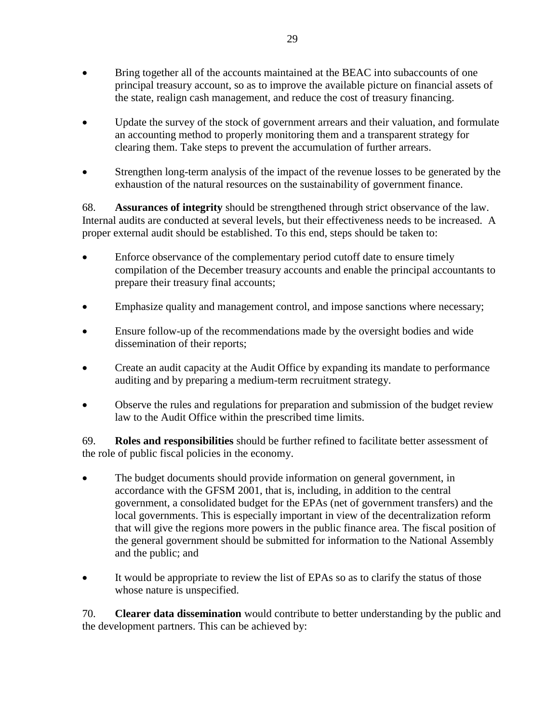- Bring together all of the accounts maintained at the BEAC into subaccounts of one principal treasury account, so as to improve the available picture on financial assets of the state, realign cash management, and reduce the cost of treasury financing.
- Update the survey of the stock of government arrears and their valuation, and formulate an accounting method to properly monitoring them and a transparent strategy for clearing them. Take steps to prevent the accumulation of further arrears.
- Strengthen long-term analysis of the impact of the revenue losses to be generated by the exhaustion of the natural resources on the sustainability of government finance.

68. **Assurances of integrity** should be strengthened through strict observance of the law. Internal audits are conducted at several levels, but their effectiveness needs to be increased. A proper external audit should be established. To this end, steps should be taken to:

- Enforce observance of the complementary period cutoff date to ensure timely compilation of the December treasury accounts and enable the principal accountants to prepare their treasury final accounts;
- Emphasize quality and management control, and impose sanctions where necessary;
- Ensure follow-up of the recommendations made by the oversight bodies and wide dissemination of their reports;
- Create an audit capacity at the Audit Office by expanding its mandate to performance auditing and by preparing a medium-term recruitment strategy.
- Observe the rules and regulations for preparation and submission of the budget review law to the Audit Office within the prescribed time limits.

69. **Roles and responsibilities** should be further refined to facilitate better assessment of the role of public fiscal policies in the economy.

- The budget documents should provide information on general government, in accordance with the GFSM 2001, that is, including, in addition to the central government, a consolidated budget for the EPAs (net of government transfers) and the local governments. This is especially important in view of the decentralization reform that will give the regions more powers in the public finance area. The fiscal position of the general government should be submitted for information to the National Assembly and the public; and
- It would be appropriate to review the list of EPAs so as to clarify the status of those whose nature is unspecified.

70. **Clearer data dissemination** would contribute to better understanding by the public and the development partners. This can be achieved by: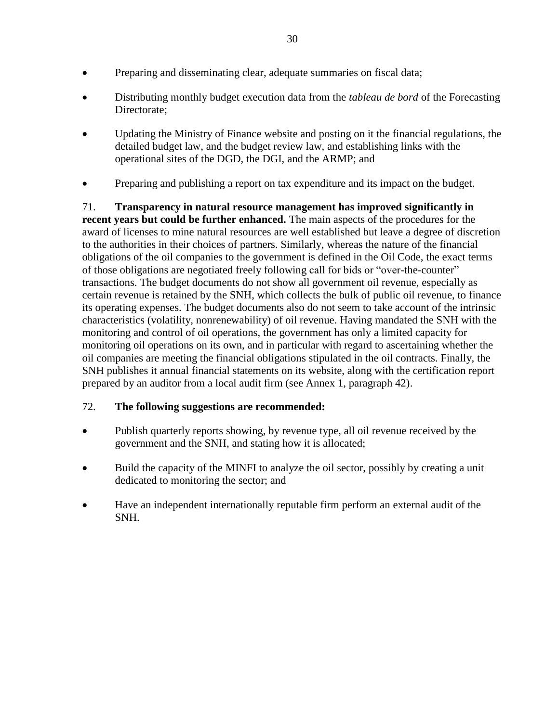- Preparing and disseminating clear, adequate summaries on fiscal data;
- Distributing monthly budget execution data from the *tableau de bord* of the Forecasting Directorate;
- Updating the Ministry of Finance website and posting on it the financial regulations, the detailed budget law, and the budget review law, and establishing links with the operational sites of the DGD, the DGI, and the ARMP; and
- Preparing and publishing a report on tax expenditure and its impact on the budget.

71. **Transparency in natural resource management has improved significantly in recent years but could be further enhanced.** The main aspects of the procedures for the award of licenses to mine natural resources are well established but leave a degree of discretion to the authorities in their choices of partners. Similarly, whereas the nature of the financial obligations of the oil companies to the government is defined in the Oil Code, the exact terms of those obligations are negotiated freely following call for bids or "over-the-counter" transactions. The budget documents do not show all government oil revenue, especially as certain revenue is retained by the SNH, which collects the bulk of public oil revenue, to finance its operating expenses. The budget documents also do not seem to take account of the intrinsic characteristics (volatility, nonrenewability) of oil revenue. Having mandated the SNH with the monitoring and control of oil operations, the government has only a limited capacity for monitoring oil operations on its own, and in particular with regard to ascertaining whether the oil companies are meeting the financial obligations stipulated in the oil contracts. Finally, the SNH publishes it annual financial statements on its website, along with the certification report prepared by an auditor from a local audit firm (see Annex 1, paragraph 42).

# 72. **The following suggestions are recommended:**

- Publish quarterly reports showing, by revenue type, all oil revenue received by the government and the SNH, and stating how it is allocated;
- Build the capacity of the MINFI to analyze the oil sector, possibly by creating a unit dedicated to monitoring the sector; and
- Have an independent internationally reputable firm perform an external audit of the SNH.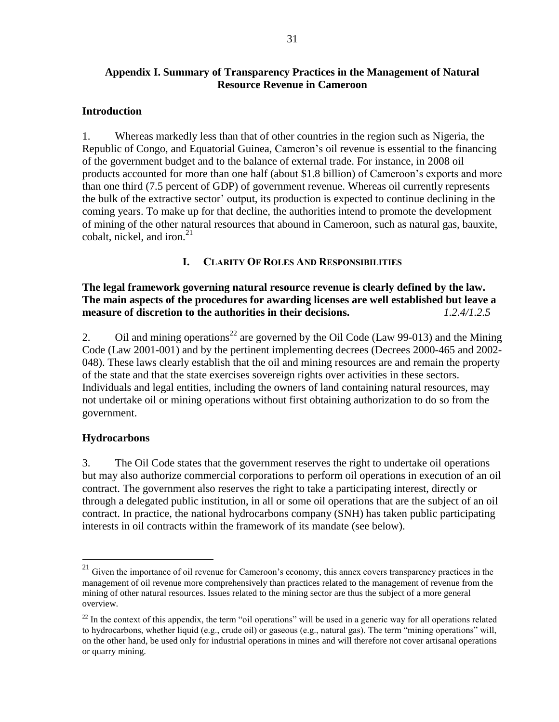# **Appendix I. Summary of Transparency Practices in the Management of Natural Resource Revenue in Cameroon**

#### **Introduction**

1. Whereas markedly less than that of other countries in the region such as Nigeria, the Republic of Congo, and Equatorial Guinea, Cameron's oil revenue is essential to the financing of the government budget and to the balance of external trade. For instance, in 2008 oil products accounted for more than one half (about \$1.8 billion) of Cameroon's exports and more than one third (7.5 percent of GDP) of government revenue. Whereas oil currently represents the bulk of the extractive sector' output, its production is expected to continue declining in the coming years. To make up for that decline, the authorities intend to promote the development of mining of the other natural resources that abound in Cameroon, such as natural gas, bauxite, cobalt, nickel, and iron. $^{21}$ 

### **I. CLARITY OF ROLES AND RESPONSIBILITIES**

**The legal framework governing natural resource revenue is clearly defined by the law. The main aspects of the procedures for awarding licenses are well established but leave a measure of discretion to the authorities in their decisions.** *1.2.4/1.2.5*

2. Oil and mining operations<sup>22</sup> are governed by the Oil Code (Law 99-013) and the Mining Code (Law 2001-001) and by the pertinent implementing decrees (Decrees 2000-465 and 2002- 048). These laws clearly establish that the oil and mining resources are and remain the property of the state and that the state exercises sovereign rights over activities in these sectors. Individuals and legal entities, including the owners of land containing natural resources, may not undertake oil or mining operations without first obtaining authorization to do so from the government.

# **Hydrocarbons**

 $\overline{a}$ 

3. The Oil Code states that the government reserves the right to undertake oil operations but may also authorize commercial corporations to perform oil operations in execution of an oil contract. The government also reserves the right to take a participating interest, directly or through a delegated public institution, in all or some oil operations that are the subject of an oil contract. In practice, the national hydrocarbons company (SNH) has taken public participating interests in oil contracts within the framework of its mandate (see below).

 $21$  Given the importance of oil revenue for Cameroon's economy, this annex covers transparency practices in the management of oil revenue more comprehensively than practices related to the management of revenue from the mining of other natural resources. Issues related to the mining sector are thus the subject of a more general overview.

 $22$  In the context of this appendix, the term "oil operations" will be used in a generic way for all operations related to hydrocarbons, whether liquid (e.g., crude oil) or gaseous (e.g., natural gas). The term "mining operations" will, on the other hand, be used only for industrial operations in mines and will therefore not cover artisanal operations or quarry mining.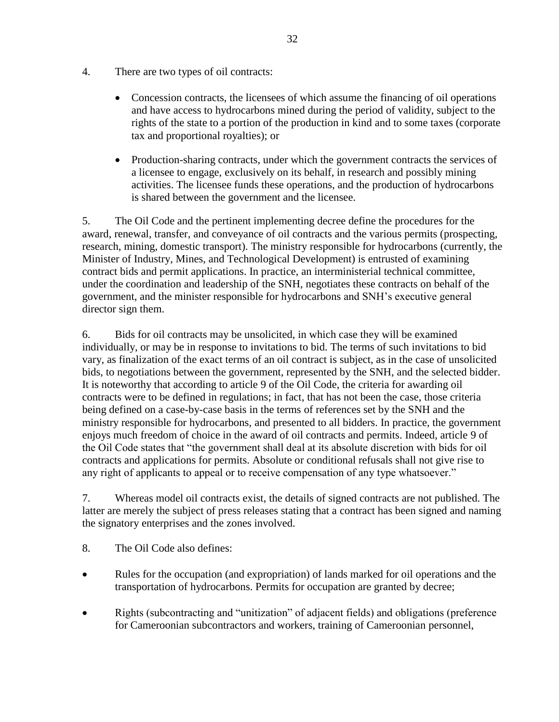- 4. There are two types of oil contracts:
	- Concession contracts, the licensees of which assume the financing of oil operations and have access to hydrocarbons mined during the period of validity, subject to the rights of the state to a portion of the production in kind and to some taxes (corporate tax and proportional royalties); or
	- Production-sharing contracts, under which the government contracts the services of a licensee to engage, exclusively on its behalf, in research and possibly mining activities. The licensee funds these operations, and the production of hydrocarbons is shared between the government and the licensee.

5. The Oil Code and the pertinent implementing decree define the procedures for the award, renewal, transfer, and conveyance of oil contracts and the various permits (prospecting, research, mining, domestic transport). The ministry responsible for hydrocarbons (currently, the Minister of Industry, Mines, and Technological Development) is entrusted of examining contract bids and permit applications. In practice, an interministerial technical committee, under the coordination and leadership of the SNH, negotiates these contracts on behalf of the government, and the minister responsible for hydrocarbons and SNH's executive general director sign them.

6. Bids for oil contracts may be unsolicited, in which case they will be examined individually, or may be in response to invitations to bid. The terms of such invitations to bid vary, as finalization of the exact terms of an oil contract is subject, as in the case of unsolicited bids, to negotiations between the government, represented by the SNH, and the selected bidder. It is noteworthy that according to article 9 of the Oil Code, the criteria for awarding oil contracts were to be defined in regulations; in fact, that has not been the case, those criteria being defined on a case-by-case basis in the terms of references set by the SNH and the ministry responsible for hydrocarbons, and presented to all bidders. In practice, the government enjoys much freedom of choice in the award of oil contracts and permits. Indeed, article 9 of the Oil Code states that "the government shall deal at its absolute discretion with bids for oil contracts and applications for permits. Absolute or conditional refusals shall not give rise to any right of applicants to appeal or to receive compensation of any type whatsoever."

7. Whereas model oil contracts exist, the details of signed contracts are not published. The latter are merely the subject of press releases stating that a contract has been signed and naming the signatory enterprises and the zones involved.

- 8. The Oil Code also defines:
- Rules for the occupation (and expropriation) of lands marked for oil operations and the transportation of hydrocarbons. Permits for occupation are granted by decree;
- Rights (subcontracting and "unitization" of adjacent fields) and obligations (preference for Cameroonian subcontractors and workers, training of Cameroonian personnel,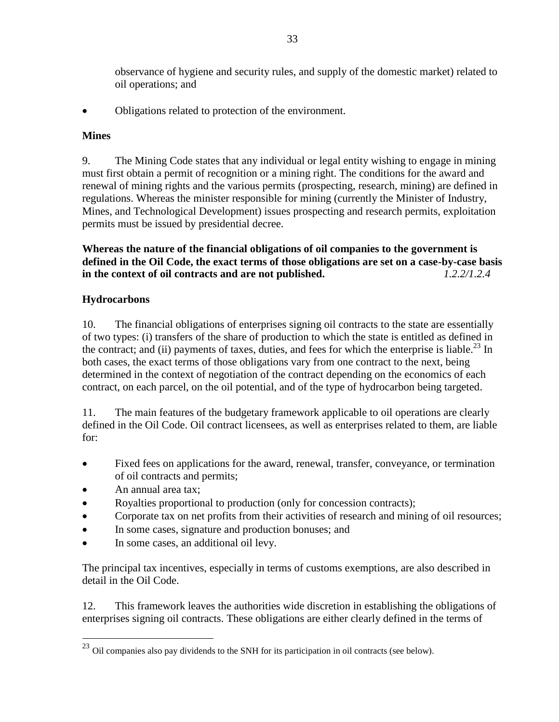observance of hygiene and security rules, and supply of the domestic market) related to oil operations; and

• Obligations related to protection of the environment.

# **Mines**

9. The Mining Code states that any individual or legal entity wishing to engage in mining must first obtain a permit of recognition or a mining right. The conditions for the award and renewal of mining rights and the various permits (prospecting, research, mining) are defined in regulations. Whereas the minister responsible for mining (currently the Minister of Industry, Mines, and Technological Development) issues prospecting and research permits, exploitation permits must be issued by presidential decree.

**Whereas the nature of the financial obligations of oil companies to the government is defined in the Oil Code, the exact terms of those obligations are set on a case-by-case basis in the context of oil contracts and are not published.** *1.2.2/1.2.4*

# **Hydrocarbons**

10. The financial obligations of enterprises signing oil contracts to the state are essentially of two types: (i) transfers of the share of production to which the state is entitled as defined in the contract; and (ii) payments of taxes, duties, and fees for which the enterprise is liable.<sup>23</sup> In both cases, the exact terms of those obligations vary from one contract to the next, being determined in the context of negotiation of the contract depending on the economics of each contract, on each parcel, on the oil potential, and of the type of hydrocarbon being targeted.

11. The main features of the budgetary framework applicable to oil operations are clearly defined in the Oil Code. Oil contract licensees, as well as enterprises related to them, are liable for:

- Fixed fees on applications for the award, renewal, transfer, conveyance, or termination of oil contracts and permits;
- An annual area tax;

 $\overline{a}$ 

- Royalties proportional to production (only for concession contracts);
- Corporate tax on net profits from their activities of research and mining of oil resources;
- In some cases, signature and production bonuses; and
- In some cases, an additional oil levy.

The principal tax incentives, especially in terms of customs exemptions, are also described in detail in the Oil Code.

12. This framework leaves the authorities wide discretion in establishing the obligations of enterprises signing oil contracts. These obligations are either clearly defined in the terms of

 $^{23}$  Oil companies also pay dividends to the SNH for its participation in oil contracts (see below).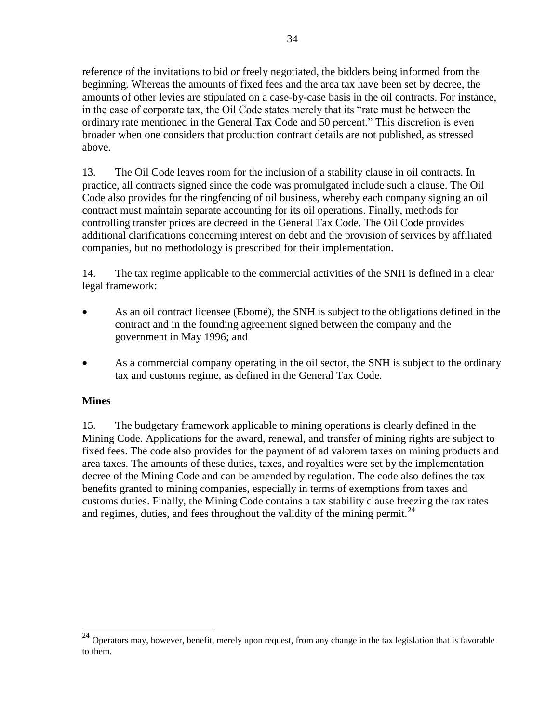reference of the invitations to bid or freely negotiated, the bidders being informed from the beginning. Whereas the amounts of fixed fees and the area tax have been set by decree, the amounts of other levies are stipulated on a case-by-case basis in the oil contracts. For instance, in the case of corporate tax, the Oil Code states merely that its "rate must be between the ordinary rate mentioned in the General Tax Code and 50 percent." This discretion is even broader when one considers that production contract details are not published, as stressed above.

13. The Oil Code leaves room for the inclusion of a stability clause in oil contracts. In practice, all contracts signed since the code was promulgated include such a clause. The Oil Code also provides for the ringfencing of oil business, whereby each company signing an oil contract must maintain separate accounting for its oil operations. Finally, methods for controlling transfer prices are decreed in the General Tax Code. The Oil Code provides additional clarifications concerning interest on debt and the provision of services by affiliated companies, but no methodology is prescribed for their implementation.

14. The tax regime applicable to the commercial activities of the SNH is defined in a clear legal framework:

- As an oil contract licensee (Ebomé), the SNH is subject to the obligations defined in the contract and in the founding agreement signed between the company and the government in May 1996; and
- As a commercial company operating in the oil sector, the SNH is subject to the ordinary tax and customs regime, as defined in the General Tax Code.

# **Mines**

 $\overline{a}$ 

15. The budgetary framework applicable to mining operations is clearly defined in the Mining Code. Applications for the award, renewal, and transfer of mining rights are subject to fixed fees. The code also provides for the payment of ad valorem taxes on mining products and area taxes. The amounts of these duties, taxes, and royalties were set by the implementation decree of the Mining Code and can be amended by regulation. The code also defines the tax benefits granted to mining companies, especially in terms of exemptions from taxes and customs duties. Finally, the Mining Code contains a tax stability clause freezing the tax rates and regimes, duties, and fees throughout the validity of the mining permit.<sup>24</sup>

 $^{24}$  Operators may, however, benefit, merely upon request, from any change in the tax legislation that is favorable to them.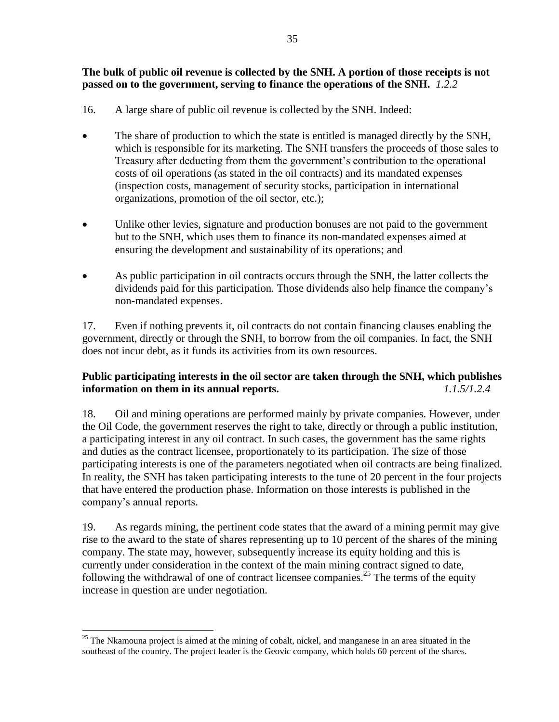### **The bulk of public oil revenue is collected by the SNH. A portion of those receipts is not passed on to the government, serving to finance the operations of the SNH.** *1.2.2*

- 16. A large share of public oil revenue is collected by the SNH. Indeed:
- The share of production to which the state is entitled is managed directly by the SNH, which is responsible for its marketing. The SNH transfers the proceeds of those sales to Treasury after deducting from them the government's contribution to the operational costs of oil operations (as stated in the oil contracts) and its mandated expenses (inspection costs, management of security stocks, participation in international organizations, promotion of the oil sector, etc.);
- Unlike other levies, signature and production bonuses are not paid to the government but to the SNH, which uses them to finance its non-mandated expenses aimed at ensuring the development and sustainability of its operations; and
- As public participation in oil contracts occurs through the SNH, the latter collects the dividends paid for this participation. Those dividends also help finance the company's non-mandated expenses.

17. Even if nothing prevents it, oil contracts do not contain financing clauses enabling the government, directly or through the SNH, to borrow from the oil companies. In fact, the SNH does not incur debt, as it funds its activities from its own resources.

# **Public participating interests in the oil sector are taken through the SNH, which publishes information on them in its annual reports.** *1.1.5/1.2.4*

18. Oil and mining operations are performed mainly by private companies. However, under the Oil Code, the government reserves the right to take, directly or through a public institution, a participating interest in any oil contract. In such cases, the government has the same rights and duties as the contract licensee, proportionately to its participation. The size of those participating interests is one of the parameters negotiated when oil contracts are being finalized. In reality, the SNH has taken participating interests to the tune of 20 percent in the four projects that have entered the production phase. Information on those interests is published in the company's annual reports.

19. As regards mining, the pertinent code states that the award of a mining permit may give rise to the award to the state of shares representing up to 10 percent of the shares of the mining company. The state may, however, subsequently increase its equity holding and this is currently under consideration in the context of the main mining contract signed to date, following the withdrawal of one of contract licensee companies.<sup>25</sup> The terms of the equity increase in question are under negotiation.

 $\overline{a}$  $25$  The Nkamouna project is aimed at the mining of cobalt, nickel, and manganese in an area situated in the southeast of the country. The project leader is the Geovic company, which holds 60 percent of the shares.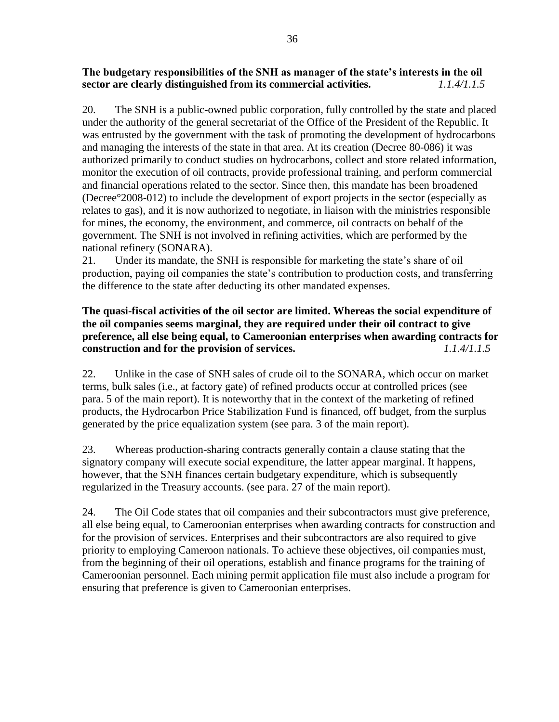# **The budgetary responsibilities of the SNH as manager of the state's interests in the oil sector are clearly distinguished from its commercial activities.** *1.1.4/1.1.5*

20. The SNH is a public-owned public corporation, fully controlled by the state and placed under the authority of the general secretariat of the Office of the President of the Republic. It was entrusted by the government with the task of promoting the development of hydrocarbons and managing the interests of the state in that area. At its creation (Decree 80-086) it was authorized primarily to conduct studies on hydrocarbons, collect and store related information, monitor the execution of oil contracts, provide professional training, and perform commercial and financial operations related to the sector. Since then, this mandate has been broadened (Decree°2008-012) to include the development of export projects in the sector (especially as relates to gas), and it is now authorized to negotiate, in liaison with the ministries responsible for mines, the economy, the environment, and commerce, oil contracts on behalf of the government. The SNH is not involved in refining activities, which are performed by the national refinery (SONARA).

21. Under its mandate, the SNH is responsible for marketing the state's share of oil production, paying oil companies the state's contribution to production costs, and transferring the difference to the state after deducting its other mandated expenses.

# **The quasi-fiscal activities of the oil sector are limited. Whereas the social expenditure of the oil companies seems marginal, they are required under their oil contract to give preference, all else being equal, to Cameroonian enterprises when awarding contracts for construction and for the provision of services.** *1.1.4/1.1.5*

22. Unlike in the case of SNH sales of crude oil to the SONARA, which occur on market terms, bulk sales (i.e., at factory gate) of refined products occur at controlled prices (see para. [5](#page-5-0) of the main report). It is noteworthy that in the context of the marketing of refined products, the Hydrocarbon Price Stabilization Fund is financed, off budget, from the surplus generated by the price equalization system (see para. [3](#page-4-0) of the main report).

23. Whereas production-sharing contracts generally contain a clause stating that the signatory company will execute social expenditure, the latter appear marginal. It happens, however, that the SNH finances certain budgetary expenditure, which is subsequently regularized in the Treasury accounts. (see para. [27](#page-15-0) of the main report).

24. The Oil Code states that oil companies and their subcontractors must give preference, all else being equal, to Cameroonian enterprises when awarding contracts for construction and for the provision of services. Enterprises and their subcontractors are also required to give priority to employing Cameroon nationals. To achieve these objectives, oil companies must, from the beginning of their oil operations, establish and finance programs for the training of Cameroonian personnel. Each mining permit application file must also include a program for ensuring that preference is given to Cameroonian enterprises.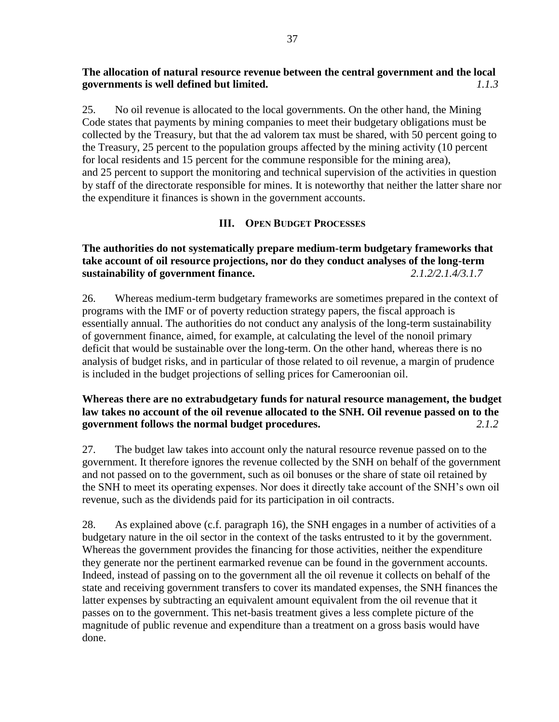# **The allocation of natural resource revenue between the central government and the local governments is well defined but limited.** *1.1.3*

25. No oil revenue is allocated to the local governments. On the other hand, the Mining Code states that payments by mining companies to meet their budgetary obligations must be collected by the Treasury, but that the ad valorem tax must be shared, with 50 percent going to the Treasury, 25 percent to the population groups affected by the mining activity (10 percent for local residents and 15 percent for the commune responsible for the mining area), and 25 percent to support the monitoring and technical supervision of the activities in question by staff of the directorate responsible for mines. It is noteworthy that neither the latter share nor the expenditure it finances is shown in the government accounts.

### **III. OPEN BUDGET PROCESSES**

**The authorities do not systematically prepare medium-term budgetary frameworks that take account of oil resource projections, nor do they conduct analyses of the long-term sustainability of government finance.** *2.1.2/2.1.4/3.1.7*

26. Whereas medium-term budgetary frameworks are sometimes prepared in the context of programs with the IMF or of poverty reduction strategy papers, the fiscal approach is essentially annual. The authorities do not conduct any analysis of the long-term sustainability of government finance, aimed, for example, at calculating the level of the nonoil primary deficit that would be sustainable over the long-term. On the other hand, whereas there is no analysis of budget risks, and in particular of those related to oil revenue, a margin of prudence is included in the budget projections of selling prices for Cameroonian oil.

# **Whereas there are no extrabudgetary funds for natural resource management, the budget law takes no account of the oil revenue allocated to the SNH. Oil revenue passed on to the government follows the normal budget procedures.** *2.1.2*

27. The budget law takes into account only the natural resource revenue passed on to the government. It therefore ignores the revenue collected by the SNH on behalf of the government and not passed on to the government, such as oil bonuses or the share of state oil retained by the SNH to meet its operating expenses. Nor does it directly take account of the SNH's own oil revenue, such as the dividends paid for its participation in oil contracts.

28. As explained above (c.f. paragraph 16), the SNH engages in a number of activities of a budgetary nature in the oil sector in the context of the tasks entrusted to it by the government. Whereas the government provides the financing for those activities, neither the expenditure they generate nor the pertinent earmarked revenue can be found in the government accounts. Indeed, instead of passing on to the government all the oil revenue it collects on behalf of the state and receiving government transfers to cover its mandated expenses, the SNH finances the latter expenses by subtracting an equivalent amount equivalent from the oil revenue that it passes on to the government. This net-basis treatment gives a less complete picture of the magnitude of public revenue and expenditure than a treatment on a gross basis would have done.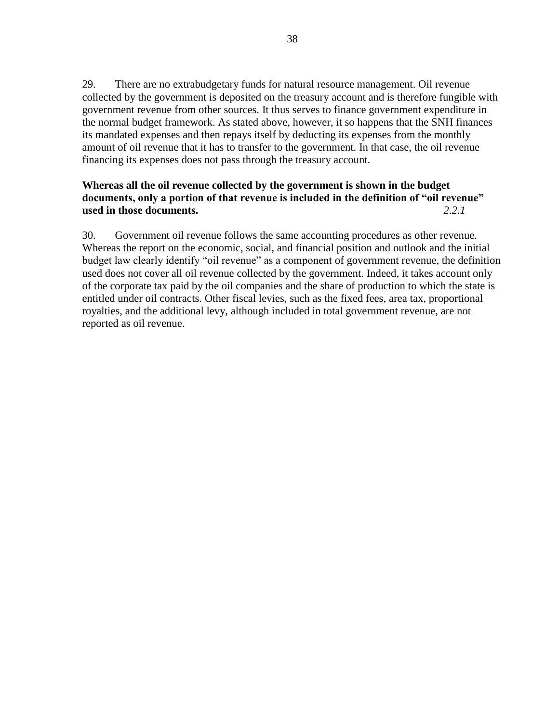29. There are no extrabudgetary funds for natural resource management. Oil revenue collected by the government is deposited on the treasury account and is therefore fungible with government revenue from other sources. It thus serves to finance government expenditure in the normal budget framework. As stated above, however, it so happens that the SNH finances its mandated expenses and then repays itself by deducting its expenses from the monthly amount of oil revenue that it has to transfer to the government. In that case, the oil revenue financing its expenses does not pass through the treasury account.

# **Whereas all the oil revenue collected by the government is shown in the budget documents, only a portion of that revenue is included in the definition of "oil revenue" used in those documents.** *2.2.1*

30. Government oil revenue follows the same accounting procedures as other revenue. Whereas the report on the economic, social, and financial position and outlook and the initial budget law clearly identify "oil revenue" as a component of government revenue, the definition used does not cover all oil revenue collected by the government. Indeed, it takes account only of the corporate tax paid by the oil companies and the share of production to which the state is entitled under oil contracts. Other fiscal levies, such as the fixed fees, area tax, proportional royalties, and the additional levy, although included in total government revenue, are not reported as oil revenue.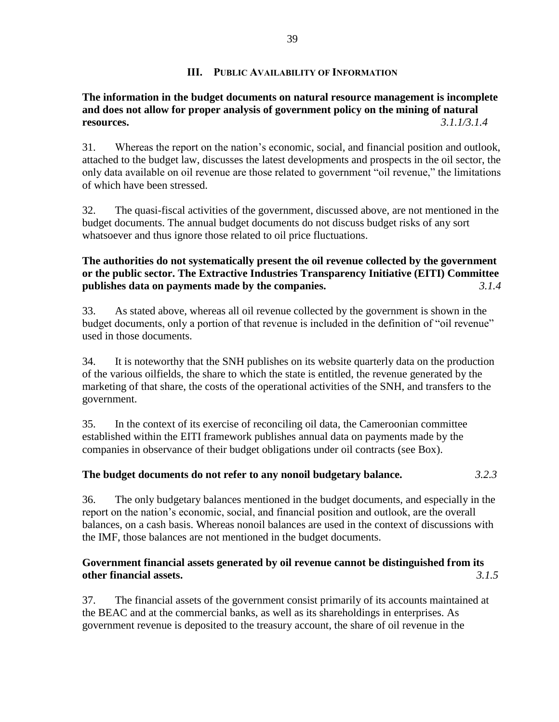### **III. PUBLIC AVAILABILITY OF INFORMATION**

# **The information in the budget documents on natural resource management is incomplete and does not allow for proper analysis of government policy on the mining of natural resources.** *3.1.1/3.1.4*

31. Whereas the report on the nation's economic, social, and financial position and outlook, attached to the budget law, discusses the latest developments and prospects in the oil sector, the only data available on oil revenue are those related to government "oil revenue," the limitations of which have been stressed.

32. The quasi-fiscal activities of the government, discussed above, are not mentioned in the budget documents. The annual budget documents do not discuss budget risks of any sort whatsoever and thus ignore those related to oil price fluctuations.

# **The authorities do not systematically present the oil revenue collected by the government or the public sector. The Extractive Industries Transparency Initiative (EITI) Committee publishes data on payments made by the companies.** *3.1.4*

33. As stated above, whereas all oil revenue collected by the government is shown in the budget documents, only a portion of that revenue is included in the definition of "oil revenue" used in those documents.

34. It is noteworthy that the SNH publishes on its website quarterly data on the production of the various oilfields, the share to which the state is entitled, the revenue generated by the marketing of that share, the costs of the operational activities of the SNH, and transfers to the government.

35. In the context of its exercise of reconciling oil data, the Cameroonian committee established within the EITI framework publishes annual data on payments made by the companies in observance of their budget obligations under oil contracts (see Box).

# **The budget documents do not refer to any nonoil budgetary balance.** *3.2.3*

36. The only budgetary balances mentioned in the budget documents, and especially in the report on the nation's economic, social, and financial position and outlook, are the overall balances, on a cash basis. Whereas nonoil balances are used in the context of discussions with the IMF, those balances are not mentioned in the budget documents.

### **Government financial assets generated by oil revenue cannot be distinguished from its other financial assets.** *3.1.5*

37. The financial assets of the government consist primarily of its accounts maintained at the BEAC and at the commercial banks, as well as its shareholdings in enterprises. As government revenue is deposited to the treasury account, the share of oil revenue in the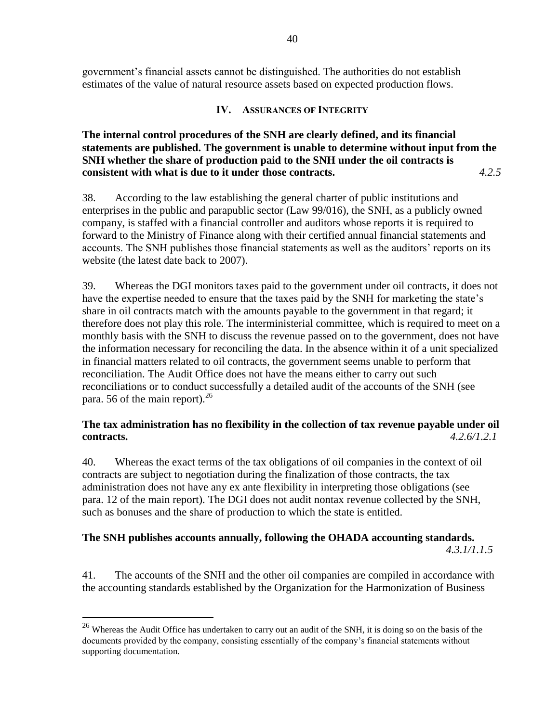government's financial assets cannot be distinguished. The authorities do not establish estimates of the value of natural resource assets based on expected production flows.

### **IV. ASSURANCES OF INTEGRITY**

**The internal control procedures of the SNH are clearly defined, and its financial statements are published. The government is unable to determine without input from the SNH whether the share of production paid to the SNH under the oil contracts is consistent with what is due to it under those contracts.** *4.2.5*

38. According to the law establishing the general charter of public institutions and enterprises in the public and parapublic sector (Law 99/016), the SNH, as a publicly owned company, is staffed with a financial controller and auditors whose reports it is required to forward to the Ministry of Finance along with their certified annual financial statements and accounts. The SNH publishes those financial statements as well as the auditors' reports on its website (the latest date back to 2007).

39. Whereas the DGI monitors taxes paid to the government under oil contracts, it does not have the expertise needed to ensure that the taxes paid by the SNH for marketing the state's share in oil contracts match with the amounts payable to the government in that regard; it therefore does not play this role. The interministerial committee, which is required to meet on a monthly basis with the SNH to discuss the revenue passed on to the government, does not have the information necessary for reconciling the data. In the absence within it of a unit specialized in financial matters related to oil contracts, the government seems unable to perform that reconciliation. The Audit Office does not have the means either to carry out such reconciliations or to conduct successfully a detailed audit of the accounts of the SNH (see para. 56 of the main report).  $26$ 

# **The tax administration has no flexibility in the collection of tax revenue payable under oil contracts.** *4.2.6/1.2.1*

40. Whereas the exact terms of the tax obligations of oil companies in the context of oil contracts are subject to negotiation during the finalization of those contracts, the tax administration does not have any ex ante flexibility in interpreting those obligations (see para. [12](#page-8-0) of the main report). The DGI does not audit nontax revenue collected by the SNH, such as bonuses and the share of production to which the state is entitled.

# **The SNH publishes accounts annually, following the OHADA accounting standards.**

*4.3.1/1.1.5*

41. The accounts of the SNH and the other oil companies are compiled in accordance with the accounting standards established by the Organization for the Harmonization of Business

 $\overline{a}$ 

 $^{26}$  Whereas the Audit Office has undertaken to carry out an audit of the SNH, it is doing so on the basis of the documents provided by the company, consisting essentially of the company's financial statements without supporting documentation.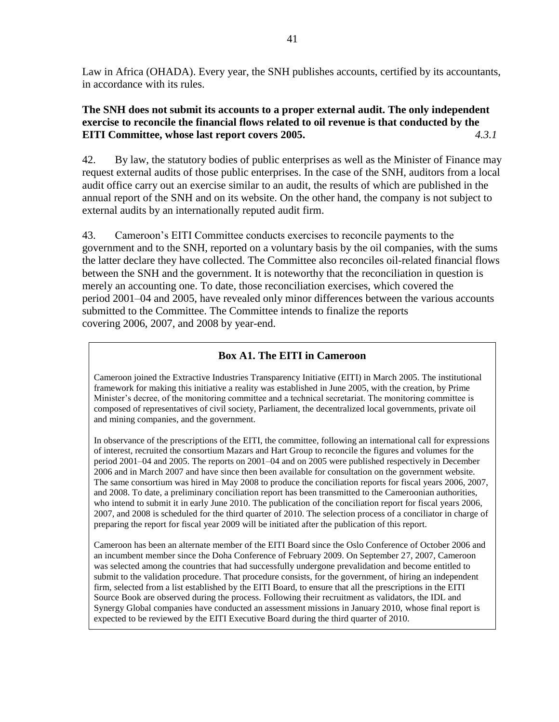Law in Africa (OHADA). Every year, the SNH publishes accounts, certified by its accountants, in accordance with its rules.

# **The SNH does not submit its accounts to a proper external audit. The only independent exercise to reconcile the financial flows related to oil revenue is that conducted by the EITI Committee, whose last report covers 2005.** *4.3.1*

42. By law, the statutory bodies of public enterprises as well as the Minister of Finance may request external audits of those public enterprises. In the case of the SNH, auditors from a local audit office carry out an exercise similar to an audit, the results of which are published in the annual report of the SNH and on its website. On the other hand, the company is not subject to external audits by an internationally reputed audit firm.

43. Cameroon's EITI Committee conducts exercises to reconcile payments to the government and to the SNH, reported on a voluntary basis by the oil companies, with the sums the latter declare they have collected. The Committee also reconciles oil-related financial flows between the SNH and the government. It is noteworthy that the reconciliation in question is merely an accounting one. To date, those reconciliation exercises, which covered the period 2001–04 and 2005, have revealed only minor differences between the various accounts submitted to the Committee. The Committee intends to finalize the reports covering 2006, 2007, and 2008 by year-end.

# **Box A1. The EITI in Cameroon**

Cameroon joined the Extractive Industries Transparency Initiative (EITI) in March 2005. The institutional framework for making this initiative a reality was established in June 2005, with the creation, by Prime Minister's decree, of the monitoring committee and a technical secretariat. The monitoring committee is composed of representatives of civil society, Parliament, the decentralized local governments, private oil and mining companies, and the government.

In observance of the prescriptions of the EITI, the committee, following an international call for expressions of interest, recruited the consortium Mazars and Hart Group to reconcile the figures and volumes for the period 2001–04 and 2005. The reports on 2001–04 and on 2005 were published respectively in December 2006 and in March 2007 and have since then been available for consultation on the government website. The same consortium was hired in May 2008 to produce the conciliation reports for fiscal years 2006, 2007, and 2008. To date, a preliminary conciliation report has been transmitted to the Cameroonian authorities, who intend to submit it in early June 2010. The publication of the conciliation report for fiscal years 2006, 2007, and 2008 is scheduled for the third quarter of 2010. The selection process of a conciliator in charge of preparing the report for fiscal year 2009 will be initiated after the publication of this report.

Cameroon has been an alternate member of the EITI Board since the Oslo Conference of October 2006 and an incumbent member since the Doha Conference of February 2009. On September 27, 2007, Cameroon was selected among the countries that had successfully undergone prevalidation and become entitled to submit to the validation procedure. That procedure consists, for the government, of hiring an independent firm, selected from a list established by the EITI Board, to ensure that all the prescriptions in the EITI Source Book are observed during the process. Following their recruitment as validators, the IDL and Synergy Global companies have conducted an assessment missions in January 2010, whose final report is expected to be reviewed by the EITI Executive Board during the third quarter of 2010.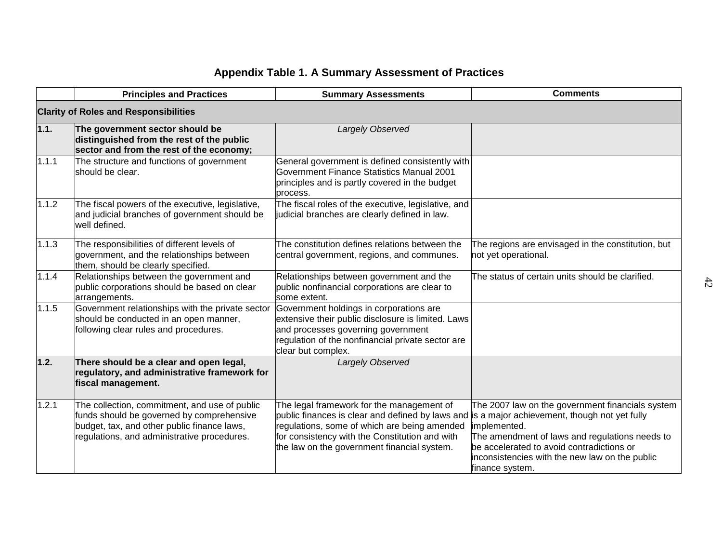# **Appendix Table 1. A Summary Assessment of Practices**

|                                              | <b>Principles and Practices</b>                                                                                                                                                          | <b>Summary Assessments</b>                                                                                                                                                                                                                     | <b>Comments</b>                                                                                                                                                                                                                                                                      |  |
|----------------------------------------------|------------------------------------------------------------------------------------------------------------------------------------------------------------------------------------------|------------------------------------------------------------------------------------------------------------------------------------------------------------------------------------------------------------------------------------------------|--------------------------------------------------------------------------------------------------------------------------------------------------------------------------------------------------------------------------------------------------------------------------------------|--|
| <b>Clarity of Roles and Responsibilities</b> |                                                                                                                                                                                          |                                                                                                                                                                                                                                                |                                                                                                                                                                                                                                                                                      |  |
| 1.1.                                         | The government sector should be<br>distinguished from the rest of the public<br>sector and from the rest of the economy;                                                                 | Largely Observed                                                                                                                                                                                                                               |                                                                                                                                                                                                                                                                                      |  |
| 1.1.1                                        | The structure and functions of government<br>should be clear.                                                                                                                            | General government is defined consistently with<br>Government Finance Statistics Manual 2001<br>principles and is partly covered in the budget<br>process.                                                                                     |                                                                                                                                                                                                                                                                                      |  |
| 1.1.2                                        | The fiscal powers of the executive, legislative,<br>and judicial branches of government should be<br>well defined.                                                                       | The fiscal roles of the executive, legislative, and<br>judicial branches are clearly defined in law.                                                                                                                                           |                                                                                                                                                                                                                                                                                      |  |
| 1.1.3                                        | The responsibilities of different levels of<br>government, and the relationships between<br>them, should be clearly specified.                                                           | The constitution defines relations between the<br>central government, regions, and communes.                                                                                                                                                   | The regions are envisaged in the constitution, but<br>not yet operational.                                                                                                                                                                                                           |  |
| 1.1.4                                        | Relationships between the government and<br>public corporations should be based on clear<br>arrangements.                                                                                | Relationships between government and the<br>public nonfinancial corporations are clear to<br>some extent.                                                                                                                                      | The status of certain units should be clarified.                                                                                                                                                                                                                                     |  |
| 1.1.5                                        | Government relationships with the private sector<br>should be conducted in an open manner,<br>following clear rules and procedures.                                                      | Government holdings in corporations are<br>extensive their public disclosure is limited. Laws<br>and processes governing government<br>regulation of the nonfinancial private sector are<br>clear but complex.                                 |                                                                                                                                                                                                                                                                                      |  |
| 1.2.                                         | There should be a clear and open legal,<br>regulatory, and administrative framework for<br>fiscal management.                                                                            | Largely Observed                                                                                                                                                                                                                               |                                                                                                                                                                                                                                                                                      |  |
| 1.2.1                                        | The collection, commitment, and use of public<br>funds should be governed by comprehensive<br>budget, tax, and other public finance laws,<br>regulations, and administrative procedures. | The legal framework for the management of<br>public finances is clear and defined by laws and<br>regulations, some of which are being amended<br>for consistency with the Constitution and with<br>the law on the government financial system. | The 2007 law on the government financials system<br>is a major achievement, though not yet fully<br>implemented.<br>The amendment of laws and regulations needs to<br>be accelerated to avoid contradictions or<br>inconsistencies with the new law on the public<br>finance system. |  |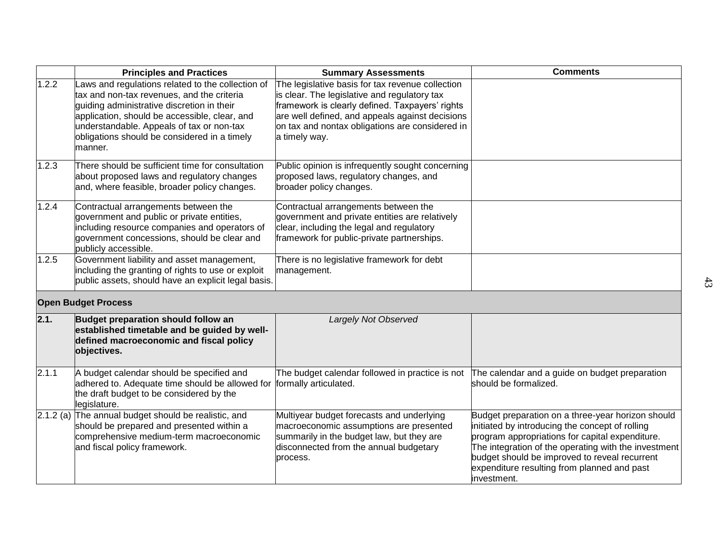|       | <b>Principles and Practices</b>                                                                                                                                                                                                                                                                        | <b>Summary Assessments</b>                                                                                                                                                                                                                                                 | <b>Comments</b>                                                                                                                                                                                                                                                                                                                |
|-------|--------------------------------------------------------------------------------------------------------------------------------------------------------------------------------------------------------------------------------------------------------------------------------------------------------|----------------------------------------------------------------------------------------------------------------------------------------------------------------------------------------------------------------------------------------------------------------------------|--------------------------------------------------------------------------------------------------------------------------------------------------------------------------------------------------------------------------------------------------------------------------------------------------------------------------------|
| 1.2.2 | Laws and regulations related to the collection of<br>tax and non-tax revenues, and the criteria<br>guiding administrative discretion in their<br>application, should be accessible, clear, and<br>understandable. Appeals of tax or non-tax<br>obligations should be considered in a timely<br>manner. | The legislative basis for tax revenue collection<br>is clear. The legislative and regulatory tax<br>framework is clearly defined. Taxpayers' rights<br>are well defined, and appeals against decisions<br>on tax and nontax obligations are considered in<br>a timely way. |                                                                                                                                                                                                                                                                                                                                |
| 1.2.3 | There should be sufficient time for consultation<br>about proposed laws and regulatory changes<br>and, where feasible, broader policy changes.                                                                                                                                                         | Public opinion is infrequently sought concerning<br>proposed laws, regulatory changes, and<br>broader policy changes.                                                                                                                                                      |                                                                                                                                                                                                                                                                                                                                |
| 1.2.4 | Contractual arrangements between the<br>government and public or private entities,<br>including resource companies and operators of<br>government concessions, should be clear and<br>publicly accessible.                                                                                             | Contractual arrangements between the<br>government and private entities are relatively<br>clear, including the legal and regulatory<br>framework for public-private partnerships.                                                                                          |                                                                                                                                                                                                                                                                                                                                |
| 1.2.5 | Government liability and asset management,<br>including the granting of rights to use or exploit<br>public assets, should have an explicit legal basis.                                                                                                                                                | There is no legislative framework for debt<br>management.                                                                                                                                                                                                                  |                                                                                                                                                                                                                                                                                                                                |
|       | <b>Open Budget Process</b>                                                                                                                                                                                                                                                                             |                                                                                                                                                                                                                                                                            |                                                                                                                                                                                                                                                                                                                                |
| 2.1.  | Budget preparation should follow an<br>established timetable and be guided by well-<br>defined macroeconomic and fiscal policy<br>objectives.                                                                                                                                                          | Largely Not Observed                                                                                                                                                                                                                                                       |                                                                                                                                                                                                                                                                                                                                |
| 2.1.1 | A budget calendar should be specified and<br>adhered to. Adequate time should be allowed for<br>the draft budget to be considered by the<br>legislature.                                                                                                                                               | The budget calendar followed in practice is not<br>formally articulated.                                                                                                                                                                                                   | The calendar and a guide on budget preparation<br>should be formalized.                                                                                                                                                                                                                                                        |
|       | $2.1.2$ (a) The annual budget should be realistic, and<br>should be prepared and presented within a<br>comprehensive medium-term macroeconomic<br>and fiscal policy framework.                                                                                                                         | Multiyear budget forecasts and underlying<br>macroeconomic assumptions are presented<br>summarily in the budget law, but they are<br>disconnected from the annual budgetary<br>process.                                                                                    | Budget preparation on a three-year horizon should<br>initiated by introducing the concept of rolling<br>program appropriations for capital expenditure.<br>The integration of the operating with the investment<br>budget should be improved to reveal recurrent<br>expenditure resulting from planned and past<br>investment. |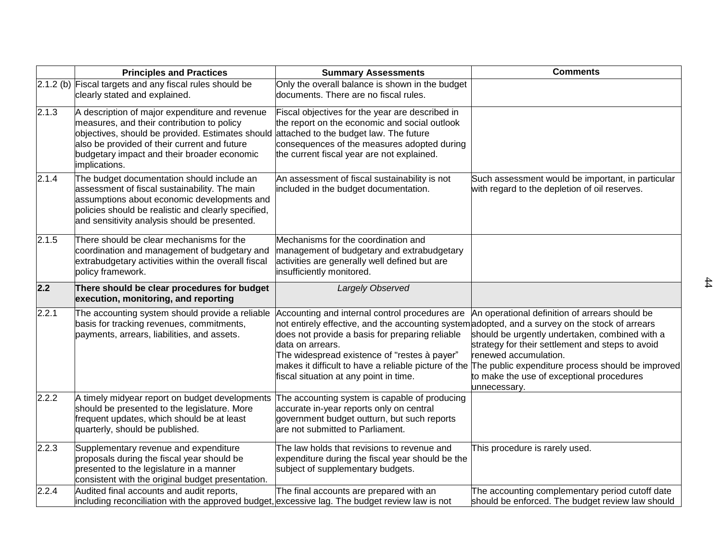|       | <b>Principles and Practices</b>                                                                                                                                                                                                                                  | <b>Summary Assessments</b>                                                                                                                                                                                                                                                                                                                                                 | <b>Comments</b>                                                                                                                                                                                                                                                                                 |
|-------|------------------------------------------------------------------------------------------------------------------------------------------------------------------------------------------------------------------------------------------------------------------|----------------------------------------------------------------------------------------------------------------------------------------------------------------------------------------------------------------------------------------------------------------------------------------------------------------------------------------------------------------------------|-------------------------------------------------------------------------------------------------------------------------------------------------------------------------------------------------------------------------------------------------------------------------------------------------|
|       | 2.1.2 (b) Fiscal targets and any fiscal rules should be<br>clearly stated and explained.                                                                                                                                                                         | Only the overall balance is shown in the budget<br>documents. There are no fiscal rules.                                                                                                                                                                                                                                                                                   |                                                                                                                                                                                                                                                                                                 |
| 2.1.3 | A description of major expenditure and revenue<br>measures, and their contribution to policy<br>objectives, should be provided. Estimates should<br>also be provided of their current and future<br>budgetary impact and their broader economic<br>implications. | Fiscal objectives for the year are described in<br>the report on the economic and social outlook<br>attached to the budget law. The future<br>consequences of the measures adopted during<br>the current fiscal year are not explained.                                                                                                                                    |                                                                                                                                                                                                                                                                                                 |
| 2.1.4 | The budget documentation should include an<br>assessment of fiscal sustainability. The main<br>assumptions about economic developments and<br>policies should be realistic and clearly specified,<br>and sensitivity analysis should be presented.               | An assessment of fiscal sustainability is not<br>included in the budget documentation.                                                                                                                                                                                                                                                                                     | Such assessment would be important, in particular<br>with regard to the depletion of oil reserves.                                                                                                                                                                                              |
| 2.1.5 | There should be clear mechanisms for the<br>coordination and management of budgetary and<br>extrabudgetary activities within the overall fiscal<br>policy framework.                                                                                             | Mechanisms for the coordination and<br>management of budgetary and extrabudgetary<br>activities are generally well defined but are<br>insufficiently monitored.                                                                                                                                                                                                            |                                                                                                                                                                                                                                                                                                 |
| 2.2   | There should be clear procedures for budget<br>execution, monitoring, and reporting                                                                                                                                                                              | Largely Observed                                                                                                                                                                                                                                                                                                                                                           |                                                                                                                                                                                                                                                                                                 |
| 2.2.1 | The accounting system should provide a reliable<br>basis for tracking revenues, commitments,<br>payments, arrears, liabilities, and assets.                                                                                                                      | Accounting and internal control procedures are<br>not entirely effective, and the accounting system adopted, and a survey on the stock of arrears<br>does not provide a basis for preparing reliable<br>data on arrears.<br>The widespread existence of "restes à payer"<br>makes it difficult to have a reliable picture of the<br>fiscal situation at any point in time. | An operational definition of arrears should be<br>should be urgently undertaken, combined with a<br>strategy for their settlement and steps to avoid<br>renewed accumulation.<br>The public expenditure process should be improved<br>to make the use of exceptional procedures<br>unnecessary. |
| 2.2.2 | A timely midyear report on budget developments<br>should be presented to the legislature. More<br>frequent updates, which should be at least<br>quarterly, should be published.                                                                                  | The accounting system is capable of producing<br>accurate in-year reports only on central<br>government budget outturn, but such reports<br>are not submitted to Parliament.                                                                                                                                                                                               |                                                                                                                                                                                                                                                                                                 |
| 2.2.3 | Supplementary revenue and expenditure<br>proposals during the fiscal year should be<br>presented to the legislature in a manner<br>consistent with the original budget presentation.                                                                             | The law holds that revisions to revenue and<br>expenditure during the fiscal year should be the<br>subject of supplementary budgets.                                                                                                                                                                                                                                       | This procedure is rarely used.                                                                                                                                                                                                                                                                  |
| 2.2.4 | Audited final accounts and audit reports,<br>including reconciliation with the approved budget, excessive lag. The budget review law is not                                                                                                                      | The final accounts are prepared with an                                                                                                                                                                                                                                                                                                                                    | The accounting complementary period cutoff date<br>should be enforced. The budget review law should                                                                                                                                                                                             |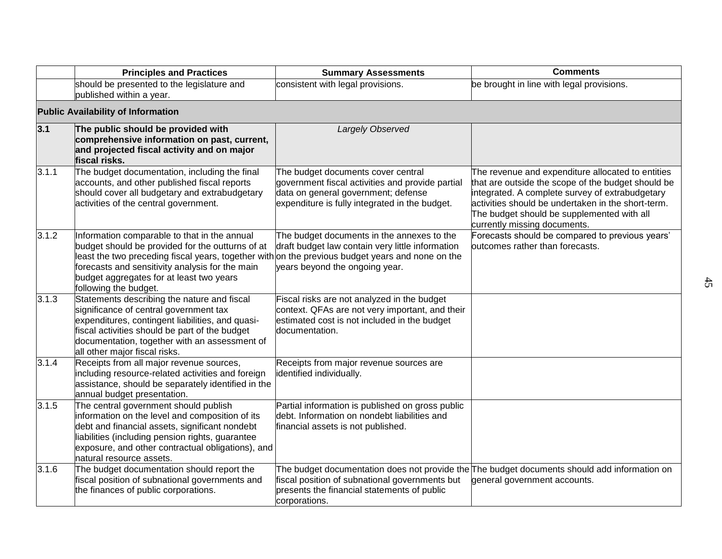|       | <b>Principles and Practices</b>                                                                                                                                                                                                                                                                                              | <b>Summary Assessments</b>                                                                                                                                                      | <b>Comments</b>                                                                                                                                                                                                                                                                                |
|-------|------------------------------------------------------------------------------------------------------------------------------------------------------------------------------------------------------------------------------------------------------------------------------------------------------------------------------|---------------------------------------------------------------------------------------------------------------------------------------------------------------------------------|------------------------------------------------------------------------------------------------------------------------------------------------------------------------------------------------------------------------------------------------------------------------------------------------|
|       | should be presented to the legislature and<br>published within a year.                                                                                                                                                                                                                                                       | consistent with legal provisions.                                                                                                                                               | be brought in line with legal provisions.                                                                                                                                                                                                                                                      |
|       | <b>Public Availability of Information</b>                                                                                                                                                                                                                                                                                    |                                                                                                                                                                                 |                                                                                                                                                                                                                                                                                                |
| 3.1   | The public should be provided with<br>comprehensive information on past, current,<br>and projected fiscal activity and on major<br>fiscal risks.                                                                                                                                                                             | Largely Observed                                                                                                                                                                |                                                                                                                                                                                                                                                                                                |
| 3.1.1 | The budget documentation, including the final<br>accounts, and other published fiscal reports<br>should cover all budgetary and extrabudgetary<br>activities of the central government.                                                                                                                                      | The budget documents cover central<br>government fiscal activities and provide partial<br>data on general government; defense<br>expenditure is fully integrated in the budget. | The revenue and expenditure allocated to entities<br>that are outside the scope of the budget should be<br>integrated. A complete survey of extrabudgetary<br>activities should be undertaken in the short-term.<br>The budget should be supplemented with all<br>currently missing documents. |
| 3.1.2 | Information comparable to that in the annual<br>budget should be provided for the outturns of at<br>least the two preceding fiscal years, together with on the previous budget years and none on the<br>forecasts and sensitivity analysis for the main<br>budget aggregates for at least two years<br>following the budget. | The budget documents in the annexes to the<br>draft budget law contain very little information<br>years beyond the ongoing year.                                                | Forecasts should be compared to previous years'<br>outcomes rather than forecasts.                                                                                                                                                                                                             |
| 3.1.3 | Statements describing the nature and fiscal<br>significance of central government tax<br>expenditures, contingent liabilities, and quasi-<br>fiscal activities should be part of the budget<br>documentation, together with an assessment of<br>all other major fiscal risks.                                                | Fiscal risks are not analyzed in the budget<br>context. QFAs are not very important, and their<br>estimated cost is not included in the budget<br>documentation.                |                                                                                                                                                                                                                                                                                                |
| 3.1.4 | Receipts from all major revenue sources,<br>including resource-related activities and foreign<br>assistance, should be separately identified in the<br>annual budget presentation.                                                                                                                                           | Receipts from major revenue sources are<br>identified individually.                                                                                                             |                                                                                                                                                                                                                                                                                                |
| 3.1.5 | The central government should publish<br>information on the level and composition of its<br>debt and financial assets, significant nondebt<br>liabilities (including pension rights, guarantee<br>exposure, and other contractual obligations), and<br>natural resource assets.                                              | Partial information is published on gross public<br>debt. Information on nondebt liabilities and<br>financial assets is not published.                                          |                                                                                                                                                                                                                                                                                                |
| 3.1.6 | The budget documentation should report the<br>fiscal position of subnational governments and<br>the finances of public corporations.                                                                                                                                                                                         | fiscal position of subnational governments but<br>presents the financial statements of public<br>corporations.                                                                  | The budget documentation does not provide the The budget documents should add information on<br>general government accounts.                                                                                                                                                                   |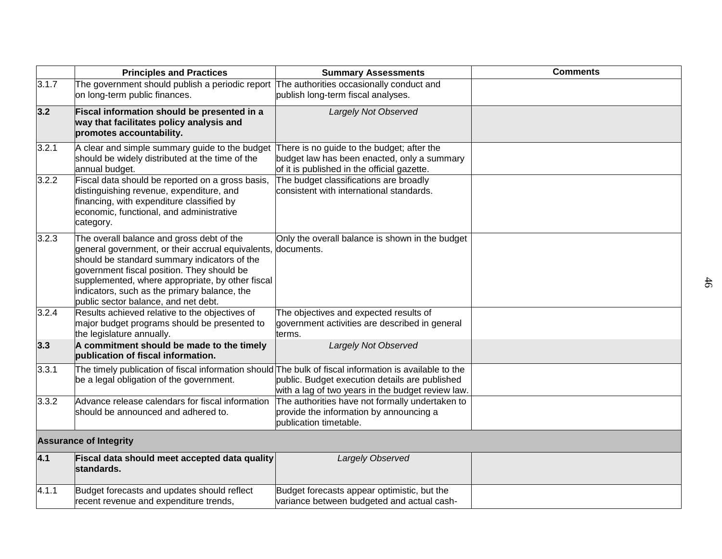|       | <b>Principles and Practices</b>                                                                                                                                                                                                                                                                                                          | <b>Summary Assessments</b>                                                                                                               | <b>Comments</b> |
|-------|------------------------------------------------------------------------------------------------------------------------------------------------------------------------------------------------------------------------------------------------------------------------------------------------------------------------------------------|------------------------------------------------------------------------------------------------------------------------------------------|-----------------|
| 3.1.7 | The government should publish a periodic report The authorities occasionally conduct and<br>on long-term public finances.                                                                                                                                                                                                                | publish long-term fiscal analyses.                                                                                                       |                 |
| 3.2   | Fiscal information should be presented in a<br>way that facilitates policy analysis and<br>promotes accountability.                                                                                                                                                                                                                      | Largely Not Observed                                                                                                                     |                 |
| 3.2.1 | A clear and simple summary guide to the budget<br>should be widely distributed at the time of the<br>annual budget.                                                                                                                                                                                                                      | There is no guide to the budget; after the<br>budget law has been enacted, only a summary<br>of it is published in the official gazette. |                 |
| 3.2.2 | Fiscal data should be reported on a gross basis,<br>distinguishing revenue, expenditure, and<br>financing, with expenditure classified by<br>economic, functional, and administrative<br>category.                                                                                                                                       | The budget classifications are broadly<br>consistent with international standards.                                                       |                 |
| 3.2.3 | The overall balance and gross debt of the<br>general government, or their accrual equivalents,<br>should be standard summary indicators of the<br>government fiscal position. They should be<br>supplemented, where appropriate, by other fiscal<br>indicators, such as the primary balance, the<br>public sector balance, and net debt. | Only the overall balance is shown in the budget<br>documents.                                                                            |                 |
| 3.2.4 | Results achieved relative to the objectives of<br>major budget programs should be presented to<br>the legislature annually.                                                                                                                                                                                                              | The objectives and expected results of<br>government activities are described in general<br>terms.                                       |                 |
| 3.3   | A commitment should be made to the timely<br>publication of fiscal information.                                                                                                                                                                                                                                                          | Largely Not Observed                                                                                                                     |                 |
| 3.3.1 | The timely publication of fiscal information should The bulk of fiscal information is available to the<br>be a legal obligation of the government.                                                                                                                                                                                       | public. Budget execution details are published<br>with a lag of two years in the budget review law.                                      |                 |
| 3.3.2 | Advance release calendars for fiscal information<br>should be announced and adhered to.                                                                                                                                                                                                                                                  | The authorities have not formally undertaken to<br>provide the information by announcing a<br>publication timetable.                     |                 |
|       | <b>Assurance of Integrity</b>                                                                                                                                                                                                                                                                                                            |                                                                                                                                          |                 |
| 4.1   | Fiscal data should meet accepted data quality<br>standards.                                                                                                                                                                                                                                                                              | Largely Observed                                                                                                                         |                 |
| 4.1.1 | Budget forecasts and updates should reflect<br>recent revenue and expenditure trends,                                                                                                                                                                                                                                                    | Budget forecasts appear optimistic, but the<br>variance between budgeted and actual cash-                                                |                 |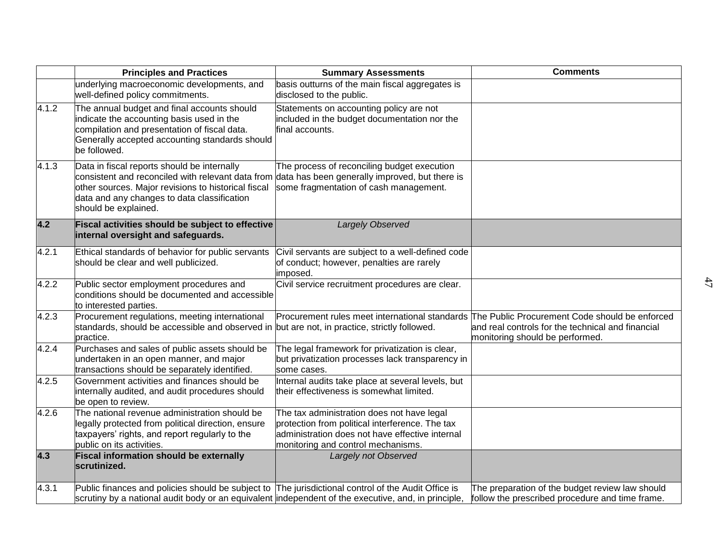|       | <b>Principles and Practices</b>                                                                                                                                                                                                | <b>Summary Assessments</b>                                                                                                                                                             | <b>Comments</b>                                                                                                                                                                       |
|-------|--------------------------------------------------------------------------------------------------------------------------------------------------------------------------------------------------------------------------------|----------------------------------------------------------------------------------------------------------------------------------------------------------------------------------------|---------------------------------------------------------------------------------------------------------------------------------------------------------------------------------------|
|       | underlying macroeconomic developments, and<br>well-defined policy commitments.                                                                                                                                                 | basis outturns of the main fiscal aggregates is<br>disclosed to the public.                                                                                                            |                                                                                                                                                                                       |
| 4.1.2 | The annual budget and final accounts should<br>indicate the accounting basis used in the<br>compilation and presentation of fiscal data.<br>Generally accepted accounting standards should<br>be followed.                     | Statements on accounting policy are not<br>included in the budget documentation nor the<br>final accounts.                                                                             |                                                                                                                                                                                       |
| 4.1.3 | Data in fiscal reports should be internally<br>consistent and reconciled with relevant data from<br>other sources. Major revisions to historical fiscal<br>data and any changes to data classification<br>should be explained. | The process of reconciling budget execution<br>data has been generally improved, but there is<br>some fragmentation of cash management.                                                |                                                                                                                                                                                       |
| 4.2   | Fiscal activities should be subject to effective<br>internal oversight and safeguards.                                                                                                                                         | Largely Observed                                                                                                                                                                       |                                                                                                                                                                                       |
| 4.2.1 | Ethical standards of behavior for public servants<br>should be clear and well publicized.                                                                                                                                      | Civil servants are subject to a well-defined code<br>of conduct; however, penalties are rarely<br>imposed.                                                                             |                                                                                                                                                                                       |
| 4.2.2 | Public sector employment procedures and<br>conditions should be documented and accessible<br>to interested parties.                                                                                                            | Civil service recruitment procedures are clear.                                                                                                                                        |                                                                                                                                                                                       |
| 4.2.3 | Procurement regulations, meeting international<br>standards, should be accessible and observed in but are not, in practice, strictly followed.<br>practice.                                                                    |                                                                                                                                                                                        | Procurement rules meet international standards The Public Procurement Code should be enforced<br>and real controls for the technical and financial<br>monitoring should be performed. |
| 4.2.4 | Purchases and sales of public assets should be<br>undertaken in an open manner, and major<br>transactions should be separately identified.                                                                                     | The legal framework for privatization is clear,<br>but privatization processes lack transparency in<br>some cases.                                                                     |                                                                                                                                                                                       |
| 4.2.5 | Government activities and finances should be<br>internally audited, and audit procedures should<br>be open to review.                                                                                                          | Internal audits take place at several levels, but<br>their effectiveness is somewhat limited.                                                                                          |                                                                                                                                                                                       |
| 4.2.6 | The national revenue administration should be<br>legally protected from political direction, ensure<br>taxpayers' rights, and report regularly to the<br>public on its activities.                                             | The tax administration does not have legal<br>protection from political interference. The tax<br>administration does not have effective internal<br>monitoring and control mechanisms. |                                                                                                                                                                                       |
| 4.3   | <b>Fiscal information should be externally</b><br>scrutinized.                                                                                                                                                                 | Largely not Observed                                                                                                                                                                   |                                                                                                                                                                                       |
| 4.3.1 | Public finances and policies should be subject to The jurisdictional control of the Audit Office is<br>scrutiny by a national audit body or an equivalent independent of the executive, and, in principle,                     |                                                                                                                                                                                        | The preparation of the budget review law should<br>follow the prescribed procedure and time frame.                                                                                    |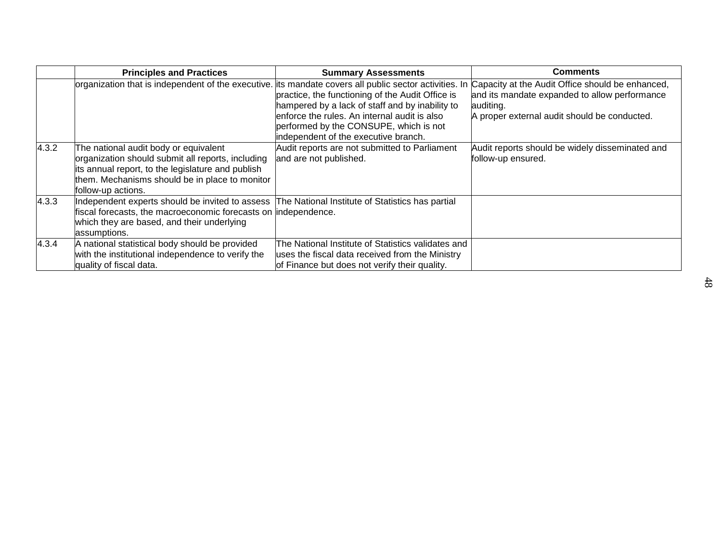|       | <b>Principles and Practices</b>                                                                                                                                                                                                   | <b>Summary Assessments</b>                                                                                                                                                                                                            | <b>Comments</b>                                                                                                                                                |
|-------|-----------------------------------------------------------------------------------------------------------------------------------------------------------------------------------------------------------------------------------|---------------------------------------------------------------------------------------------------------------------------------------------------------------------------------------------------------------------------------------|----------------------------------------------------------------------------------------------------------------------------------------------------------------|
|       | organization that is independent of the executive. its mandate covers all public sector activities. In                                                                                                                            | practice, the functioning of the Audit Office is<br>hampered by a lack of staff and by inability to<br>enforce the rules. An internal audit is also<br>performed by the CONSUPE, which is not<br>independent of the executive branch. | Capacity at the Audit Office should be enhanced,<br>and its mandate expanded to allow performance<br>auditing.<br>A proper external audit should be conducted. |
| 4.3.2 | The national audit body or equivalent<br>organization should submit all reports, including<br>its annual report, to the legislature and publish<br>them. Mechanisms should be in place to monitor<br>follow-up actions.           | Audit reports are not submitted to Parliament<br>and are not published.                                                                                                                                                               | Audit reports should be widely disseminated and<br>follow-up ensured.                                                                                          |
| 4.3.3 | Independent experts should be invited to assess The National Institute of Statistics has partial<br>fiscal forecasts, the macroeconomic forecasts on lindependence.<br>which they are based, and their underlying<br>assumptions. |                                                                                                                                                                                                                                       |                                                                                                                                                                |
| 4.3.4 | A national statistical body should be provided<br>with the institutional independence to verify the<br>quality of fiscal data.                                                                                                    | The National Institute of Statistics validates and<br>uses the fiscal data received from the Ministry<br>of Finance but does not verify their quality.                                                                                |                                                                                                                                                                |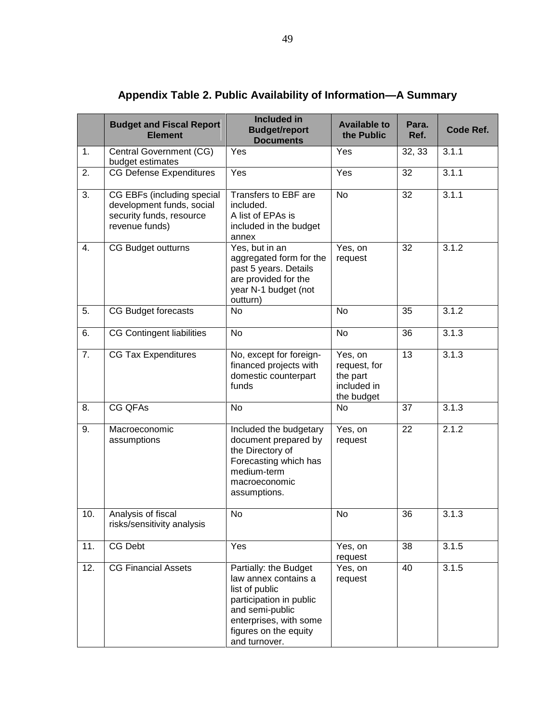|     | <b>Budget and Fiscal Report</b><br><b>Element</b>                                                     | <b>Included in</b><br><b>Budget/report</b><br><b>Documents</b>                                                                                                                    | <b>Available to</b><br>the Public                                | Para.<br>Ref.   | Code Ref. |
|-----|-------------------------------------------------------------------------------------------------------|-----------------------------------------------------------------------------------------------------------------------------------------------------------------------------------|------------------------------------------------------------------|-----------------|-----------|
| 1.  | Central Government (CG)<br>budget estimates                                                           | Yes                                                                                                                                                                               | Yes                                                              | 32, 33          | 3.1.1     |
| 2.  | <b>CG Defense Expenditures</b>                                                                        | Yes                                                                                                                                                                               | Yes                                                              | 32              | 3.1.1     |
| 3.  | CG EBFs (including special<br>development funds, social<br>security funds, resource<br>revenue funds) | Transfers to EBF are<br>included.<br>A list of EPAs is<br>included in the budget<br>annex                                                                                         | <b>No</b>                                                        | 32              | 3.1.1     |
| 4.  | CG Budget outturns                                                                                    | Yes, but in an<br>aggregated form for the<br>past 5 years. Details<br>are provided for the<br>year N-1 budget (not<br>outturn)                                                    | Yes, on<br>request                                               | 32              | 3.1.2     |
| 5.  | CG Budget forecasts                                                                                   | No                                                                                                                                                                                | N <sub>o</sub>                                                   | 35              | 3.1.2     |
| 6.  | <b>CG Contingent liabilities</b>                                                                      | <b>No</b>                                                                                                                                                                         | <b>No</b>                                                        | 36              | 3.1.3     |
| 7.  | <b>CG Tax Expenditures</b>                                                                            | No, except for foreign-<br>financed projects with<br>domestic counterpart<br>funds                                                                                                | Yes, on<br>request, for<br>the part<br>included in<br>the budget | 13              | 3.1.3     |
| 8.  | <b>CG QFAs</b>                                                                                        | <b>No</b>                                                                                                                                                                         | No                                                               | 37              | 3.1.3     |
| 9.  | Macroeconomic<br>assumptions                                                                          | Included the budgetary<br>document prepared by<br>the Directory of<br>Forecasting which has<br>medium-term<br>macroeconomic<br>assumptions.                                       | Yes, on<br>request                                               | $\overline{22}$ | 2.1.2     |
| 10. | Analysis of fiscal<br>risks/sensitivity analysis                                                      | No                                                                                                                                                                                | No                                                               | 36              | 3.1.3     |
| 11. | CG Debt                                                                                               | Yes                                                                                                                                                                               | Yes, on<br>request                                               | 38              | 3.1.5     |
| 12. | <b>CG Financial Assets</b>                                                                            | Partially: the Budget<br>law annex contains a<br>list of public<br>participation in public<br>and semi-public<br>enterprises, with some<br>figures on the equity<br>and turnover. | Yes, on<br>request                                               | 40              | 3.1.5     |

# **Appendix Table 2. Public Availability of Information—A Summary**